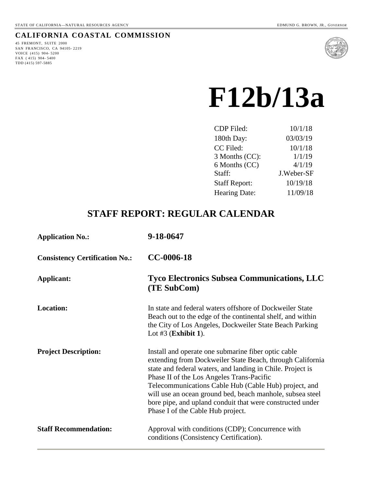## **CALIFORNIA COASTAL COMMISSION**

45 FREMONT, SUITE 2000 SAN FRANCISCO, CA 94105- 2219 VOICE (415) 904- 5200 FAX ( 415) 904- 5400 TDD (415) 597-5885



# **F12b/13a**

| CDP Filed:           | 10/1/18    |
|----------------------|------------|
| 180th Day:           | 03/03/19   |
| CC Filed:            | 10/1/18    |
| 3 Months (CC):       | 1/1/19     |
| 6 Months (CC)        | 4/1/19     |
| Staff:               | J.Weber-SF |
| <b>Staff Report:</b> | 10/19/18   |
| <b>Hearing Date:</b> | 11/09/18   |
|                      |            |

# **STAFF REPORT: REGULAR CALENDAR**

| <b>Application No.:</b>               | 9-18-0647                                                                                                                                                                                                                                                                                                                                                                                                                                           |
|---------------------------------------|-----------------------------------------------------------------------------------------------------------------------------------------------------------------------------------------------------------------------------------------------------------------------------------------------------------------------------------------------------------------------------------------------------------------------------------------------------|
| <b>Consistency Certification No.:</b> | CC-0006-18                                                                                                                                                                                                                                                                                                                                                                                                                                          |
| <b>Applicant:</b>                     | <b>Tyco Electronics Subsea Communications, LLC</b><br>(TE SubCom)                                                                                                                                                                                                                                                                                                                                                                                   |
| Location:                             | In state and federal waters offshore of Dockweiler State<br>Beach out to the edge of the continental shelf, and within<br>the City of Los Angeles, Dockweiler State Beach Parking<br>Lot $#3$ (Exhibit 1).                                                                                                                                                                                                                                          |
| <b>Project Description:</b>           | Install and operate one submarine fiber optic cable<br>extending from Dockweiler State Beach, through California<br>state and federal waters, and landing in Chile. Project is<br>Phase II of the Los Angeles Trans-Pacific<br>Telecommunications Cable Hub (Cable Hub) project, and<br>will use an ocean ground bed, beach manhole, subsea steel<br>bore pipe, and upland conduit that were constructed under<br>Phase I of the Cable Hub project. |
| <b>Staff Recommendation:</b>          | Approval with conditions (CDP); Concurrence with<br>conditions (Consistency Certification).                                                                                                                                                                                                                                                                                                                                                         |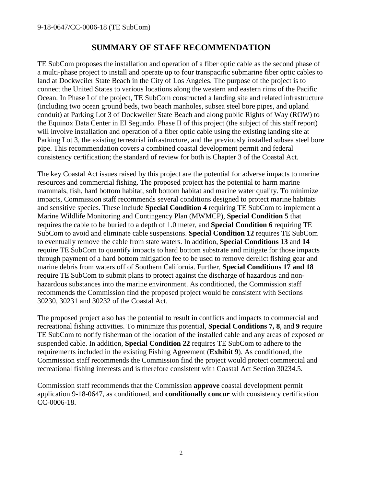## **SUMMARY OF STAFF RECOMMENDATION**

TE SubCom proposes the installation and operation of a fiber optic cable as the second phase of a multi-phase project to install and operate up to four transpacific submarine fiber optic cables to land at Dockweiler State Beach in the City of Los Angeles. The purpose of the project is to connect the United States to various locations along the western and eastern rims of the Pacific Ocean. In Phase I of the project, TE SubCom constructed a landing site and related infrastructure (including two ocean ground beds, two beach manholes, subsea steel bore pipes, and upland conduit) at Parking Lot 3 of Dockweiler State Beach and along public Rights of Way (ROW) to the Equinox Data Center in El Segundo. Phase II of this project (the subject of this staff report) will involve installation and operation of a fiber optic cable using the existing landing site at Parking Lot 3, the existing terrestrial infrastructure, and the previously installed subsea steel bore pipe. This recommendation covers a combined coastal development permit and federal consistency certification; the standard of review for both is Chapter 3 of the Coastal Act.

The key Coastal Act issues raised by this project are the potential for adverse impacts to marine resources and commercial fishing. The proposed project has the potential to harm marine mammals, fish, hard bottom habitat, soft bottom habitat and marine water quality. To minimize impacts, Commission staff recommends several conditions designed to protect marine habitats and sensitive species. These include **Special Condition 4** requiring TE SubCom to implement a Marine Wildlife Monitoring and Contingency Plan (MWMCP), **Special Condition 5** that requires the cable to be buried to a depth of 1.0 meter, and **Special Condition 6** requiring TE SubCom to avoid and eliminate cable suspensions. **Special Condition 12** requires TE SubCom to eventually remove the cable from state waters. In addition, **Special Conditions 13** and **14** require TE SubCom to quantify impacts to hard bottom substrate and mitigate for those impacts through payment of a hard bottom mitigation fee to be used to remove derelict fishing gear and marine debris from waters off of Southern California. Further, **Special Conditions 17 and 18** require TE SubCom to submit plans to protect against the discharge of hazardous and nonhazardous substances into the marine environment. As conditioned, the Commission staff recommends the Commission find the proposed project would be consistent with Sections 30230, 30231 and 30232 of the Coastal Act.

The proposed project also has the potential to result in conflicts and impacts to commercial and recreational fishing activities. To minimize this potential, **Special Conditions 7, 8**, and **9** require TE SubCom to notify fisherman of the location of the installed cable and any areas of exposed or suspended cable. In addition, **Special Condition 22** requires TE SubCom to adhere to the requirements included in the existing Fishing Agreement (**Exhibit 9**). As conditioned, the Commission staff recommends the Commission find the project would protect commercial and recreational fishing interests and is therefore consistent with Coastal Act Section 30234.5.

Commission staff recommends that the Commission **approve** coastal development permit application 9-18-0647, as conditioned, and **conditionally concur** with consistency certification CC-0006-18.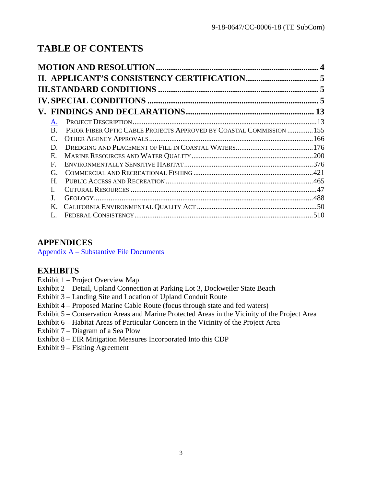# **TABLE OF CONTENTS**

|                 |                                                                     | 5 |
|-----------------|---------------------------------------------------------------------|---|
|                 |                                                                     |   |
| A.              |                                                                     |   |
| <b>B.</b>       | PRIOR FIBER OPTIC CABLE PROJECTS APPROVED BY COASTAL COMMISSION 155 |   |
| $\mathcal{C}$ . |                                                                     |   |
| D.              |                                                                     |   |
| Ε.              |                                                                     |   |
| F               |                                                                     |   |
| G.              |                                                                     |   |
| Η.              |                                                                     |   |
|                 |                                                                     |   |
|                 |                                                                     |   |
| Κ.              |                                                                     |   |
|                 |                                                                     |   |

## **APPENDICES**

Appendix A – [Substantive File Documents](#page-52-0)

# **EXHIBITS**

- Exhibit 1 Project Overview Map
- Exhibit 2 Detail, Upland Connection at Parking Lot 3, Dockweiler State Beach
- Exhibit 3 Landing Site and Location of Upland Conduit Route
- Exhibit 4 Proposed Marine Cable Route (focus through state and fed waters)
- Exhibit 5 Conservation Areas and Marine Protected Areas in the Vicinity of the Project Area
- Exhibit 6 Habitat Areas of Particular Concern in the Vicinity of the Project Area
- Exhibit 7 Diagram of a Sea Plow
- Exhibit 8 EIR Mitigation Measures Incorporated Into this CDP
- <span id="page-2-0"></span>Exhibit 9 – Fishing Agreement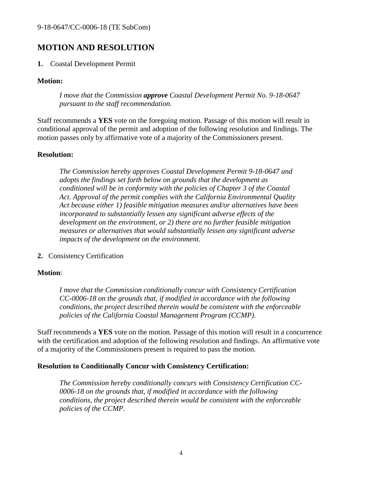# **MOTION AND RESOLUTION**

#### **1.** Coastal Development Permit

#### **Motion:**

*I move that the Commission approve Coastal Development Permit No. 9-18-0647 pursuant to the staff recommendation.*

Staff recommends a **YES** vote on the foregoing motion. Passage of this motion will result in conditional approval of the permit and adoption of the following resolution and findings. The motion passes only by affirmative vote of a majority of the Commissioners present.

#### **Resolution:**

*The Commission hereby approves Coastal Development Permit 9-18-0647 and adopts the findings set forth below on grounds that the development as conditioned will be in conformity with the policies of Chapter 3 of the Coastal Act. Approval of the permit complies with the California Environmental Quality Act because either 1) feasible mitigation measures and/or alternatives have been incorporated to substantially lessen any significant adverse effects of the development on the environment, or 2) there are no further feasible mitigation measures or alternatives that would substantially lessen any significant adverse impacts of the development on the environment.*

**2.** Consistency Certification

#### **Motion**:

*I move that the Commission conditionally concur with Consistency Certification CC-0006-18 on the grounds that, if modified in accordance with the following conditions, the project described therein would be consistent with the enforceable policies of the California Coastal Management Program (CCMP).*

Staff recommends a **YES** vote on the motion. Passage of this motion will result in a concurrence with the certification and adoption of the following resolution and findings. An affirmative vote of a majority of the Commissioners present is required to pass the motion.

#### **Resolution to Conditionally Concur with Consistency Certification:**

*The Commission hereby conditionally concurs with Consistency Certification CC-0006-18 on the grounds that, if modified in accordance with the following conditions, the project described therein would be consistent with the enforceable policies of the CCMP.*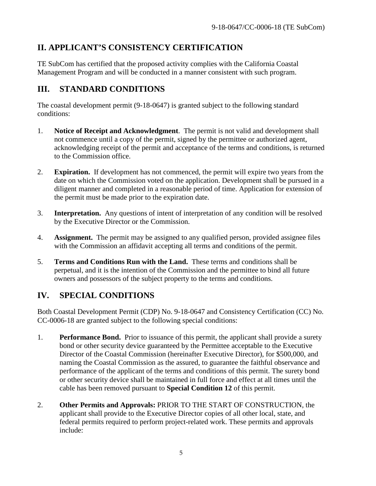# <span id="page-4-0"></span>**II. APPLICANT'S CONSISTENCY CERTIFICATION**

TE SubCom has certified that the proposed activity complies with the California Coastal Management Program and will be conducted in a manner consistent with such program.

# <span id="page-4-1"></span>**III. STANDARD CONDITIONS**

The coastal development permit (9-18-0647) is granted subject to the following standard conditions:

- 1. **Notice of Receipt and Acknowledgment**. The permit is not valid and development shall not commence until a copy of the permit, signed by the permittee or authorized agent, acknowledging receipt of the permit and acceptance of the terms and conditions, is returned to the Commission office.
- 2. **Expiration.** If development has not commenced, the permit will expire two years from the date on which the Commission voted on the application. Development shall be pursued in a diligent manner and completed in a reasonable period of time. Application for extension of the permit must be made prior to the expiration date.
- 3. **Interpretation.** Any questions of intent of interpretation of any condition will be resolved by the Executive Director or the Commission.
- 4. **Assignment.** The permit may be assigned to any qualified person, provided assignee files with the Commission an affidavit accepting all terms and conditions of the permit.
- 5. **Terms and Conditions Run with the Land.** These terms and conditions shall be perpetual, and it is the intention of the Commission and the permittee to bind all future owners and possessors of the subject property to the terms and conditions.

# <span id="page-4-2"></span>**IV. SPECIAL CONDITIONS**

Both Coastal Development Permit (CDP) No. 9-18-0647 and Consistency Certification (CC) No. CC-0006-18 are granted subject to the following special conditions:

- 1. **Performance Bond.** Prior to issuance of this permit, the applicant shall provide a surety bond or other security device guaranteed by the Permittee acceptable to the Executive Director of the Coastal Commission (hereinafter Executive Director), for \$500,000, and naming the Coastal Commission as the assured, to guarantee the faithful observance and performance of the applicant of the terms and conditions of this permit. The surety bond or other security device shall be maintained in full force and effect at all times until the cable has been removed pursuant to **Special Condition 12** of this permit.
- 2. **Other Permits and Approvals:** PRIOR TO THE START OF CONSTRUCTION, the applicant shall provide to the Executive Director copies of all other local, state, and federal permits required to perform project-related work. These permits and approvals include: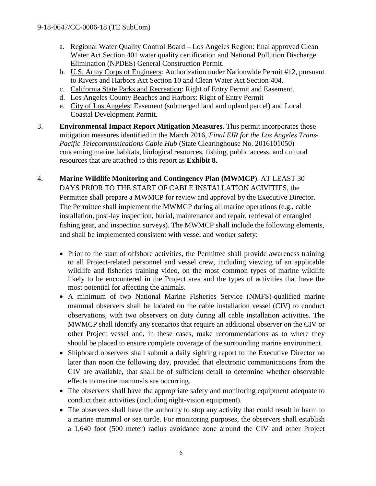- a. Regional Water Quality Control Board Los Angeles Region: final approved Clean Water Act Section 401 water quality certification and National Pollution Discharge Elimination (NPDES) General Construction Permit.
- b. U.S. Army Corps of Engineers: Authorization under Nationwide Permit #12, pursuant to Rivers and Harbors Act Section 10 and Clean Water Act Section 404.
- c. California State Parks and Recreation: Right of Entry Permit and Easement.
- d. Los Angeles County Beaches and Harbors: Right of Entry Permit
- e. City of Los Angeles: Easement (submerged land and upland parcel) and Local Coastal Development Permit.
- 3. **Environmental Impact Report Mitigation Measures.** This permit incorporates those mitigation measures identified in the March 2016, *Final EIR for the Los Angeles Trans-Pacific Telecommunications Cable Hub* (State Clearinghouse No. 2016101050) concerning marine habitats, biological resources, fishing, public access, and cultural resources that are attached to this report as **Exhibit 8.**
- 4. **Marine Wildlife Monitoring and Contingency Plan (MWMCP**). AT LEAST 30 DAYS PRIOR TO THE START OF CABLE INSTALLATION ACIVITIES, the Permittee shall prepare a MWMCP for review and approval by the Executive Director. The Permittee shall implement the MWMCP during all marine operations (e.g., cable installation, post-lay inspection, burial, maintenance and repair, retrieval of entangled fishing gear, and inspection surveys). The MWMCP shall include the following elements, and shall be implemented consistent with vessel and worker safety:
	- Prior to the start of offshore activities, the Permittee shall provide awareness training to all Project-related personnel and vessel crew, including viewing of an applicable wildlife and fisheries training video, on the most common types of marine wildlife likely to be encountered in the Project area and the types of activities that have the most potential for affecting the animals.
	- A minimum of two National Marine Fisheries Service (NMFS)-qualified marine mammal observers shall be located on the cable installation vessel (CIV) to conduct observations, with two observers on duty during all cable installation activities. The MWMCP shall identify any scenarios that require an additional observer on the CIV or other Project vessel and, in these cases, make recommendations as to where they should be placed to ensure complete coverage of the surrounding marine environment.
	- Shipboard observers shall submit a daily sighting report to the Executive Director no later than noon the following day, provided that electronic communications from the CIV are available, that shall be of sufficient detail to determine whether observable effects to marine mammals are occurring.
	- The observers shall have the appropriate safety and monitoring equipment adequate to conduct their activities (including night-vision equipment).
	- The observers shall have the authority to stop any activity that could result in harm to a marine mammal or sea turtle. For monitoring purposes, the observers shall establish a 1,640 foot (500 meter) radius avoidance zone around the CIV and other Project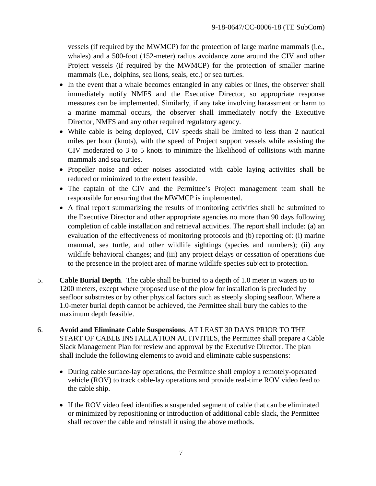vessels (if required by the MWMCP) for the protection of large marine mammals (i.e., whales) and a 500-foot (152-meter) radius avoidance zone around the CIV and other Project vessels (if required by the MWMCP) for the protection of smaller marine mammals (i.e., dolphins, sea lions, seals, etc.) or sea turtles.

- In the event that a whale becomes entangled in any cables or lines, the observer shall immediately notify NMFS and the Executive Director, so appropriate response measures can be implemented. Similarly, if any take involving harassment or harm to a marine mammal occurs, the observer shall immediately notify the Executive Director, NMFS and any other required regulatory agency.
- While cable is being deployed, CIV speeds shall be limited to less than 2 nautical miles per hour (knots), with the speed of Project support vessels while assisting the CIV moderated to 3 to 5 knots to minimize the likelihood of collisions with marine mammals and sea turtles.
- Propeller noise and other noises associated with cable laying activities shall be reduced or minimized to the extent feasible.
- The captain of the CIV and the Permittee's Project management team shall be responsible for ensuring that the MWMCP is implemented.
- A final report summarizing the results of monitoring activities shall be submitted to the Executive Director and other appropriate agencies no more than 90 days following completion of cable installation and retrieval activities. The report shall include: (a) an evaluation of the effectiveness of monitoring protocols and (b) reporting of: (i) marine mammal, sea turtle, and other wildlife sightings (species and numbers); (ii) any wildlife behavioral changes; and (iii) any project delays or cessation of operations due to the presence in the project area of marine wildlife species subject to protection.
- 5. **Cable Burial Depth**. The cable shall be buried to a depth of 1.0 meter in waters up to 1200 meters, except where proposed use of the plow for installation is precluded by seafloor substrates or by other physical factors such as steeply sloping seafloor. Where a 1.0-meter burial depth cannot be achieved, the Permittee shall bury the cables to the maximum depth feasible.
- 6. **Avoid and Eliminate Cable Suspensions**. AT LEAST 30 DAYS PRIOR TO THE START OF CABLE INSTALLATION ACTIVITIES, the Permittee shall prepare a Cable Slack Management Plan for review and approval by the Executive Director. The plan shall include the following elements to avoid and eliminate cable suspensions:
	- During cable surface-lay operations, the Permittee shall employ a remotely-operated vehicle (ROV) to track cable-lay operations and provide real-time ROV video feed to the cable ship.
	- If the ROV video feed identifies a suspended segment of cable that can be eliminated or minimized by repositioning or introduction of additional cable slack, the Permittee shall recover the cable and reinstall it using the above methods.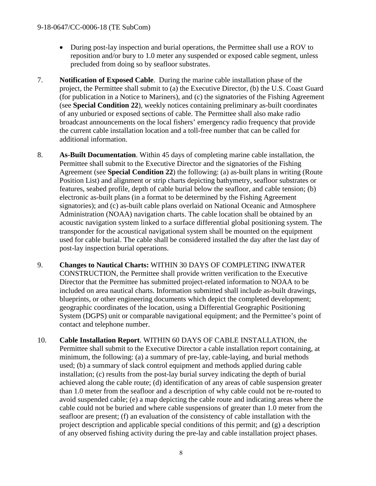- During post-lay inspection and burial operations, the Permittee shall use a ROV to reposition and/or bury to 1.0 meter any suspended or exposed cable segment, unless precluded from doing so by seafloor substrates.
- 7. **Notification of Exposed Cable**. During the marine cable installation phase of the project, the Permittee shall submit to (a) the Executive Director, (b) the U.S. Coast Guard (for publication in a Notice to Mariners), and (c) the signatories of the Fishing Agreement (see **Special Condition 22**), weekly notices containing preliminary as-built coordinates of any unburied or exposed sections of cable. The Permittee shall also make radio broadcast announcements on the local fishers' emergency radio frequency that provide the current cable installation location and a toll-free number that can be called for additional information.
- 8. **As-Built Documentation**. Within 45 days of completing marine cable installation, the Permittee shall submit to the Executive Director and the signatories of the Fishing Agreement (see **Special Condition 22**) the following: (a) as-built plans in writing (Route Position List) and alignment or strip charts depicting bathymetry, seafloor substrates or features, seabed profile, depth of cable burial below the seafloor, and cable tension; (b) electronic as-built plans (in a format to be determined by the Fishing Agreement signatories); and (c) as-built cable plans overlaid on National Oceanic and Atmosphere Administration (NOAA) navigation charts. The cable location shall be obtained by an acoustic navigation system linked to a surface differential global positioning system. The transponder for the acoustical navigational system shall be mounted on the equipment used for cable burial. The cable shall be considered installed the day after the last day of post-lay inspection burial operations.
- 9. **Changes to Nautical Charts:** WITHIN 30 DAYS OF COMPLETING INWATER CONSTRUCTION, the Permittee shall provide written verification to the Executive Director that the Permittee has submitted project-related information to NOAA to be included on area nautical charts. Information submitted shall include as-built drawings, blueprints, or other engineering documents which depict the completed development; geographic coordinates of the location, using a Differential Geographic Positioning System (DGPS) unit or comparable navigational equipment; and the Permittee's point of contact and telephone number.
- 10. **Cable Installation Report**. WITHIN 60 DAYS OF CABLE INSTALLATION, the Permittee shall submit to the Executive Director a cable installation report containing, at minimum, the following: (a) a summary of pre-lay, cable-laying, and burial methods used; (b) a summary of slack control equipment and methods applied during cable installation; (c) results from the post-lay burial survey indicating the depth of burial achieved along the cable route; (d) identification of any areas of cable suspension greater than 1.0 meter from the seafloor and a description of why cable could not be re-routed to avoid suspended cable; (e) a map depicting the cable route and indicating areas where the cable could not be buried and where cable suspensions of greater than 1.0 meter from the seafloor are present; (f) an evaluation of the consistency of cable installation with the project description and applicable special conditions of this permit; and (g) a description of any observed fishing activity during the pre-lay and cable installation project phases.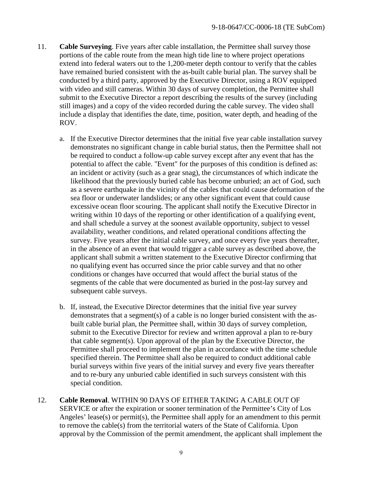- 11. **Cable Surveying**. Five years after cable installation, the Permittee shall survey those portions of the cable route from the mean high tide line to where project operations extend into federal waters out to the 1,200-meter depth contour to verify that the cables have remained buried consistent with the as-built cable burial plan. The survey shall be conducted by a third party, approved by the Executive Director, using a ROV equipped with video and still cameras. Within 30 days of survey completion, the Permittee shall submit to the Executive Director a report describing the results of the survey (including still images) and a copy of the video recorded during the cable survey. The video shall include a display that identifies the date, time, position, water depth, and heading of the ROV.
	- a. If the Executive Director determines that the initial five year cable installation survey demonstrates no significant change in cable burial status, then the Permittee shall not be required to conduct a follow-up cable survey except after any event that has the potential to affect the cable. "Event" for the purposes of this condition is defined as: an incident or activity (such as a gear snag), the circumstances of which indicate the likelihood that the previously buried cable has become unburied; an act of God, such as a severe earthquake in the vicinity of the cables that could cause deformation of the sea floor or underwater landslides; or any other significant event that could cause excessive ocean floor scouring. The applicant shall notify the Executive Director in writing within 10 days of the reporting or other identification of a qualifying event, and shall schedule a survey at the soonest available opportunity, subject to vessel availability, weather conditions, and related operational conditions affecting the survey. Five years after the initial cable survey, and once every five years thereafter, in the absence of an event that would trigger a cable survey as described above, the applicant shall submit a written statement to the Executive Director confirming that no qualifying event has occurred since the prior cable survey and that no other conditions or changes have occurred that would affect the burial status of the segments of the cable that were documented as buried in the post-lay survey and subsequent cable surveys.
	- b. If, instead, the Executive Director determines that the initial five year survey demonstrates that a segment(s) of a cable is no longer buried consistent with the asbuilt cable burial plan, the Permittee shall, within 30 days of survey completion, submit to the Executive Director for review and written approval a plan to re-bury that cable segment(s). Upon approval of the plan by the Executive Director, the Permittee shall proceed to implement the plan in accordance with the time schedule specified therein. The Permittee shall also be required to conduct additional cable burial surveys within five years of the initial survey and every five years thereafter and to re-bury any unburied cable identified in such surveys consistent with this special condition.
- 12. **Cable Removal**. WITHIN 90 DAYS OF EITHER TAKING A CABLE OUT OF SERVICE or after the expiration or sooner termination of the Permittee's City of Los Angeles' lease(s) or permit(s), the Permittee shall apply for an amendment to this permit to remove the cable(s) from the territorial waters of the State of California. Upon approval by the Commission of the permit amendment, the applicant shall implement the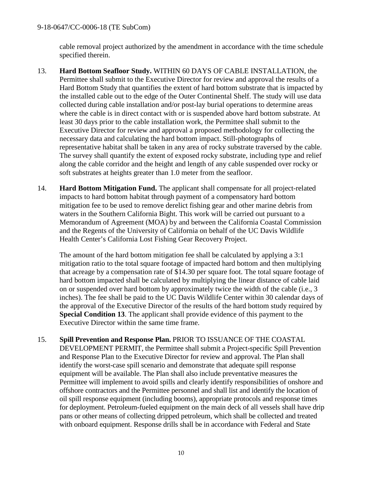cable removal project authorized by the amendment in accordance with the time schedule specified therein.

- 13. **Hard Bottom Seafloor Study.** WITHIN 60 DAYS OF CABLE INSTALLATION, the Permittee shall submit to the Executive Director for review and approval the results of a Hard Bottom Study that quantifies the extent of hard bottom substrate that is impacted by the installed cable out to the edge of the Outer Continental Shelf. The study will use data collected during cable installation and/or post-lay burial operations to determine areas where the cable is in direct contact with or is suspended above hard bottom substrate. At least 30 days prior to the cable installation work, the Permittee shall submit to the Executive Director for review and approval a proposed methodology for collecting the necessary data and calculating the hard bottom impact. Still-photographs of representative habitat shall be taken in any area of rocky substrate traversed by the cable. The survey shall quantify the extent of exposed rocky substrate, including type and relief along the cable corridor and the height and length of any cable suspended over rocky or soft substrates at heights greater than 1.0 meter from the seafloor.
- 14. **Hard Bottom Mitigation Fund.** The applicant shall compensate for all project-related impacts to hard bottom habitat through payment of a compensatory hard bottom mitigation fee to be used to remove derelict fishing gear and other marine debris from waters in the Southern California Bight. This work will be carried out pursuant to a Memorandum of Agreement (MOA) by and between the California Coastal Commission and the Regents of the University of California on behalf of the UC Davis Wildlife Health Center's California Lost Fishing Gear Recovery Project.

The amount of the hard bottom mitigation fee shall be calculated by applying a 3:1 mitigation ratio to the total square footage of impacted hard bottom and then multiplying that acreage by a compensation rate of \$14.30 per square foot. The total square footage of hard bottom impacted shall be calculated by multiplying the linear distance of cable laid on or suspended over hard bottom by approximately twice the width of the cable (i.e., 3 inches). The fee shall be paid to the UC Davis Wildlife Center within 30 calendar days of the approval of the Executive Director of the results of the hard bottom study required by **Special Condition 13**. The applicant shall provide evidence of this payment to the Executive Director within the same time frame.

15. **Spill Prevention and Response Plan.** PRIOR TO ISSUANCE OF THE COASTAL DEVELOPMENT PERMIT, the Permittee shall submit a Project-specific Spill Prevention and Response Plan to the Executive Director for review and approval. The Plan shall identify the worst-case spill scenario and demonstrate that adequate spill response equipment will be available. The Plan shall also include preventative measures the Permittee will implement to avoid spills and clearly identify responsibilities of onshore and offshore contractors and the Permittee personnel and shall list and identify the location of oil spill response equipment (including booms), appropriate protocols and response times for deployment. Petroleum-fueled equipment on the main deck of all vessels shall have drip pans or other means of collecting dripped petroleum, which shall be collected and treated with onboard equipment. Response drills shall be in accordance with Federal and State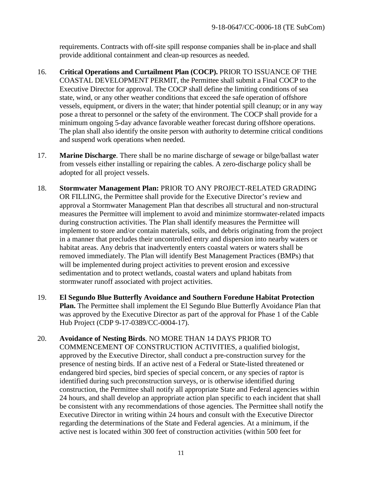requirements. Contracts with off-site spill response companies shall be in-place and shall provide additional containment and clean-up resources as needed.

- 16. **Critical Operations and Curtailment Plan (COCP).** PRIOR TO ISSUANCE OF THE COASTAL DEVELOPMENT PERMIT, the Permittee shall submit a Final COCP to the Executive Director for approval. The COCP shall define the limiting conditions of sea state, wind, or any other weather conditions that exceed the safe operation of offshore vessels, equipment, or divers in the water; that hinder potential spill cleanup; or in any way pose a threat to personnel or the safety of the environment. The COCP shall provide for a minimum ongoing 5-day advance favorable weather forecast during offshore operations. The plan shall also identify the onsite person with authority to determine critical conditions and suspend work operations when needed.
- 17. **Marine Discharge**. There shall be no marine discharge of sewage or bilge/ballast water from vessels either installing or repairing the cables. A zero-discharge policy shall be adopted for all project vessels.
- 18. **Stormwater Management Plan:** PRIOR TO ANY PROJECT-RELATED GRADING OR FILLING, the Permittee shall provide for the Executive Director's review and approval a Stormwater Management Plan that describes all structural and non-structural measures the Permittee will implement to avoid and minimize stormwater-related impacts during construction activities. The Plan shall identify measures the Permittee will implement to store and/or contain materials, soils, and debris originating from the project in a manner that precludes their uncontrolled entry and dispersion into nearby waters or habitat areas. Any debris that inadvertently enters coastal waters or waters shall be removed immediately. The Plan will identify Best Management Practices (BMPs) that will be implemented during project activities to prevent erosion and excessive sedimentation and to protect wetlands, coastal waters and upland habitats from stormwater runoff associated with project activities.
- 19. **El Segundo Blue Butterfly Avoidance and Southern Foredune Habitat Protection Plan.** The Permittee shall implement the El Segundo Blue Butterfly Avoidance Plan that was approved by the Executive Director as part of the approval for Phase 1 of the Cable Hub Project (CDP 9-17-0389/CC-0004-17).
- 20. **Avoidance of Nesting Birds**. NO MORE THAN 14 DAYS PRIOR TO COMMENCEMENT OF CONSTRUCTION ACTIVITIES, a qualified biologist, approved by the Executive Director, shall conduct a pre-construction survey for the presence of nesting birds. If an active nest of a Federal or State-listed threatened or endangered bird species, bird species of special concern, or any species of raptor is identified during such preconstruction surveys, or is otherwise identified during construction, the Permittee shall notify all appropriate State and Federal agencies within 24 hours, and shall develop an appropriate action plan specific to each incident that shall be consistent with any recommendations of those agencies. The Permittee shall notify the Executive Director in writing within 24 hours and consult with the Executive Director regarding the determinations of the State and Federal agencies. At a minimum, if the active nest is located within 300 feet of construction activities (within 500 feet for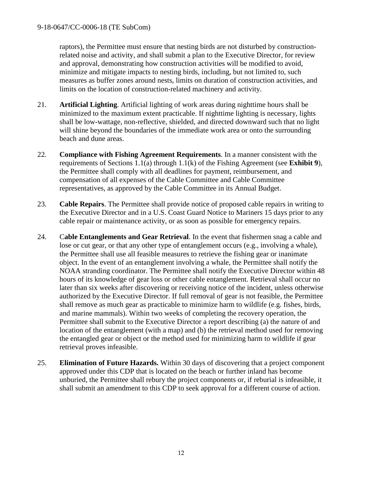raptors), the Permittee must ensure that nesting birds are not disturbed by constructionrelated noise and activity, and shall submit a plan to the Executive Director, for review and approval, demonstrating how construction activities will be modified to avoid, minimize and mitigate impacts to nesting birds, including, but not limited to, such measures as buffer zones around nests, limits on duration of construction activities, and limits on the location of construction-related machinery and activity.

- 21. **Artificial Lighting**. Artificial lighting of work areas during nighttime hours shall be minimized to the maximum extent practicable. If nighttime lighting is necessary, lights shall be low-wattage, non-reflective, shielded, and directed downward such that no light will shine beyond the boundaries of the immediate work area or onto the surrounding beach and dune areas.
- 22. **Compliance with Fishing Agreement Requirements**. In a manner consistent with the requirements of Sections 1.1(a) through 1.1(k) of the Fishing Agreement (see **Exhibit 9**), the Permittee shall comply with all deadlines for payment, reimbursement, and compensation of all expenses of the Cable Committee and Cable Committee representatives, as approved by the Cable Committee in its Annual Budget.
- 23. **Cable Repairs**. The Permittee shall provide notice of proposed cable repairs in writing to the Executive Director and in a U.S. Coast Guard Notice to Mariners 15 days prior to any cable repair or maintenance activity, or as soon as possible for emergency repairs.
- 24. C**able Entanglements and Gear Retrieval**. In the event that fishermen snag a cable and lose or cut gear, or that any other type of entanglement occurs (e.g., involving a whale), the Permittee shall use all feasible measures to retrieve the fishing gear or inanimate object. In the event of an entanglement involving a whale, the Permittee shall notify the NOAA stranding coordinator. The Permittee shall notify the Executive Director within 48 hours of its knowledge of gear loss or other cable entanglement. Retrieval shall occur no later than six weeks after discovering or receiving notice of the incident, unless otherwise authorized by the Executive Director. If full removal of gear is not feasible, the Permittee shall remove as much gear as practicable to minimize harm to wildlife (e.g. fishes, birds, and marine mammals). Within two weeks of completing the recovery operation, the Permittee shall submit to the Executive Director a report describing (a) the nature of and location of the entanglement (with a map) and (b) the retrieval method used for removing the entangled gear or object or the method used for minimizing harm to wildlife if gear retrieval proves infeasible.
- 25. **Elimination of Future Hazards.** Within 30 days of discovering that a project component approved under this CDP that is located on the beach or further inland has become unburied, the Permittee shall rebury the project components or, if reburial is infeasible, it shall submit an amendment to this CDP to seek approval for a different course of action.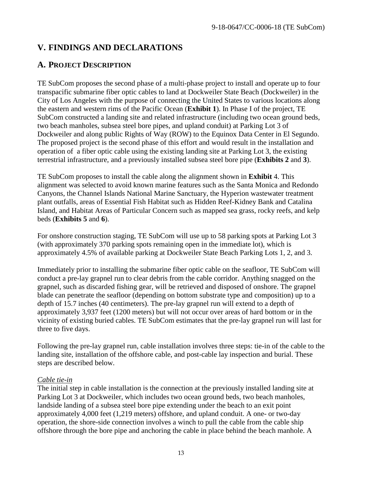# <span id="page-12-0"></span>**V. FINDINGS AND DECLARATIONS**

## <span id="page-12-1"></span>**A. PROJECT DESCRIPTION**

TE SubCom proposes the second phase of a multi-phase project to install and operate up to four transpacific submarine fiber optic cables to land at Dockweiler State Beach (Dockweiler) in the City of Los Angeles with the purpose of connecting the United States to various locations along the eastern and western rims of the Pacific Ocean (**Exhibit 1**). In Phase I of the project, TE SubCom constructed a landing site and related infrastructure (including two ocean ground beds, two beach manholes, subsea steel bore pipes, and upland conduit) at Parking Lot 3 of Dockweiler and along public Rights of Way (ROW) to the Equinox Data Center in El Segundo. The proposed project is the second phase of this effort and would result in the installation and operation of a fiber optic cable using the existing landing site at Parking Lot 3, the existing terrestrial infrastructure, and a previously installed subsea steel bore pipe (**Exhibits 2** and **3**).

TE SubCom proposes to install the cable along the alignment shown in **Exhibit** 4. This alignment was selected to avoid known marine features such as the Santa Monica and Redondo Canyons, the Channel Islands National Marine Sanctuary, the Hyperion wastewater treatment plant outfalls, areas of Essential Fish Habitat such as Hidden Reef-Kidney Bank and Catalina Island, and Habitat Areas of Particular Concern such as mapped sea grass, rocky reefs, and kelp beds (**Exhibits 5** and **6**).

For onshore construction staging, TE SubCom will use up to 58 parking spots at Parking Lot 3 (with approximately 370 parking spots remaining open in the immediate lot), which is approximately 4.5% of available parking at Dockweiler State Beach Parking Lots 1, 2, and 3.

Immediately prior to installing the submarine fiber optic cable on the seafloor, TE SubCom will conduct a pre-lay grapnel run to clear debris from the cable corridor. Anything snagged on the grapnel, such as discarded fishing gear, will be retrieved and disposed of onshore. The grapnel blade can penetrate the seafloor (depending on bottom substrate type and composition) up to a depth of 15.7 inches (40 centimeters). The pre-lay grapnel run will extend to a depth of approximately 3,937 feet (1200 meters) but will not occur over areas of hard bottom or in the vicinity of existing buried cables. TE SubCom estimates that the pre-lay grapnel run will last for three to five days.

Following the pre-lay grapnel run, cable installation involves three steps: tie-in of the cable to the landing site, installation of the offshore cable, and post-cable lay inspection and burial. These steps are described below.

#### *Cable tie-in*

The initial step in cable installation is the connection at the previously installed landing site at Parking Lot 3 at Dockweiler, which includes two ocean ground beds, two beach manholes, landside landing of a subsea steel bore pipe extending under the beach to an exit point approximately 4,000 feet (1,219 meters) offshore, and upland conduit. A one- or two-day operation, the shore-side connection involves a winch to pull the cable from the cable ship offshore through the bore pipe and anchoring the cable in place behind the beach manhole. A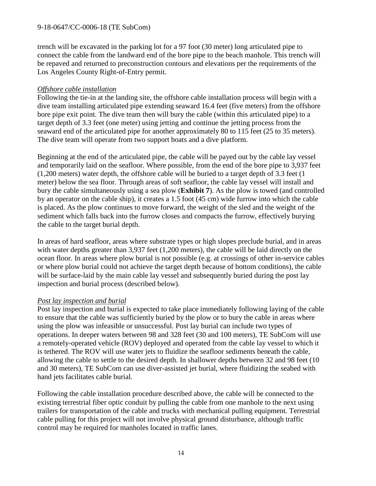trench will be excavated in the parking lot for a 97 foot (30 meter) long articulated pipe to connect the cable from the landward end of the bore pipe to the beach manhole. This trench will be repaved and returned to preconstruction contours and elevations per the requirements of the Los Angeles County Right-of-Entry permit.

#### *Offshore cable installation*

Following the tie-in at the landing site, the offshore cable installation process will begin with a dive team installing articulated pipe extending seaward 16.4 feet (five meters) from the offshore bore pipe exit point. The dive team then will bury the cable (within this articulated pipe) to a target depth of 3.3 feet (one meter) using jetting and continue the jetting process from the seaward end of the articulated pipe for another approximately 80 to 115 feet (25 to 35 meters). The dive team will operate from two support boats and a dive platform.

Beginning at the end of the articulated pipe, the cable will be payed out by the cable lay vessel and temporarily laid on the seafloor. Where possible, from the end of the bore pipe to 3,937 feet (1,200 meters) water depth, the offshore cable will be buried to a target depth of 3.3 feet (1 meter) below the sea floor. Through areas of soft seafloor, the cable lay vessel will install and bury the cable simultaneously using a sea plow (**Exhibit 7**). As the plow is towed (and controlled by an operator on the cable ship), it creates a 1.5 foot (45 cm) wide furrow into which the cable is placed. As the plow continues to move forward, the weight of the sled and the weight of the sediment which falls back into the furrow closes and compacts the furrow, effectively burying the cable to the target burial depth.

In areas of hard seafloor, areas where substrate types or high slopes preclude burial, and in areas with water depths greater than 3,937 feet (1,200 meters), the cable will be laid directly on the ocean floor. In areas where plow burial is not possible (e.g. at crossings of other in-service cables or where plow burial could not achieve the target depth because of bottom conditions), the cable will be surface-laid by the main cable lay vessel and subsequently buried during the post lay inspection and burial process (described below).

#### *Post lay inspection and burial*

Post lay inspection and burial is expected to take place immediately following laying of the cable to ensure that the cable was sufficiently buried by the plow or to bury the cable in areas where using the plow was infeasible or unsuccessful. Post lay burial can include two types of operations. In deeper waters between 98 and 328 feet (30 and 100 meters), TE SubCom will use a remotely-operated vehicle (ROV) deployed and operated from the cable lay vessel to which it is tethered. The ROV will use water jets to fluidize the seafloor sediments beneath the cable, allowing the cable to settle to the desired depth. In shallower depths between 32 and 98 feet (10 and 30 meters), TE SubCom can use diver-assisted jet burial, where fluidizing the seabed with hand jets facilitates cable burial.

Following the cable installation procedure described above, the cable will be connected to the existing terrestrial fiber optic conduit by pulling the cable from one manhole to the next using trailers for transportation of the cable and trucks with mechanical pulling equipment. Terrestrial cable pulling for this project will not involve physical ground disturbance, although traffic control may be required for manholes located in traffic lanes.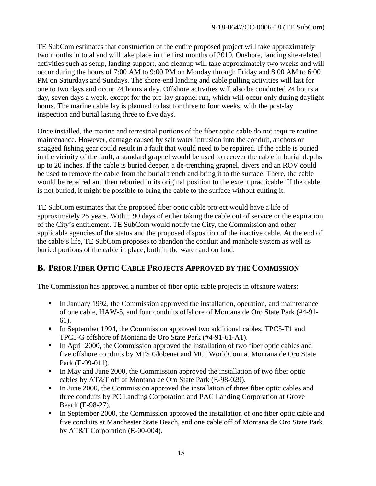TE SubCom estimates that construction of the entire proposed project will take approximately two months in total and will take place in the first months of 2019. Onshore, landing site-related activities such as setup, landing support, and cleanup will take approximately two weeks and will occur during the hours of 7:00 AM to 9:00 PM on Monday through Friday and 8:00 AM to 6:00 PM on Saturdays and Sundays. The shore-end landing and cable pulling activities will last for one to two days and occur 24 hours a day. Offshore activities will also be conducted 24 hours a day, seven days a week, except for the pre-lay grapnel run, which will occur only during daylight hours. The marine cable lay is planned to last for three to four weeks, with the post-lay inspection and burial lasting three to five days.

Once installed, the marine and terrestrial portions of the fiber optic cable do not require routine maintenance. However, damage caused by salt water intrusion into the conduit, anchors or snagged fishing gear could result in a fault that would need to be repaired. If the cable is buried in the vicinity of the fault, a standard grapnel would be used to recover the cable in burial depths up to 20 inches. If the cable is buried deeper, a de-trenching grapnel, divers and an ROV could be used to remove the cable from the burial trench and bring it to the surface. There, the cable would be repaired and then reburied in its original position to the extent practicable. If the cable is not buried, it might be possible to bring the cable to the surface without cutting it.

TE SubCom estimates that the proposed fiber optic cable project would have a life of approximately 25 years. Within 90 days of either taking the cable out of service or the expiration of the City's entitlement, TE SubCom would notify the City, the Commission and other applicable agencies of the status and the proposed disposition of the inactive cable. At the end of the cable's life, TE SubCom proposes to abandon the conduit and manhole system as well as buried portions of the cable in place, both in the water and on land.

# <span id="page-14-0"></span>**B. PRIOR FIBER OPTIC CABLE PROJECTS APPROVED BY THE COMMISSION**

The Commission has approved a number of fiber optic cable projects in offshore waters:

- In January 1992, the Commission approved the installation, operation, and maintenance of one cable, HAW-5, and four conduits offshore of Montana de Oro State Park (#4-91- 61).
- In September 1994, the Commission approved two additional cables, TPC5-T1 and TPC5-G offshore of Montana de Oro State Park (#4-91-61-A1).
- In April 2000, the Commission approved the installation of two fiber optic cables and five offshore conduits by MFS Globenet and MCI WorldCom at Montana de Oro State Park (E-99-011).
- In May and June 2000, the Commission approved the installation of two fiber optic cables by AT&T off of Montana de Oro State Park (E-98-029).
- In June 2000, the Commission approved the installation of three fiber optic cables and three conduits by PC Landing Corporation and PAC Landing Corporation at Grove Beach (E-98-27).
- In September 2000, the Commission approved the installation of one fiber optic cable and five conduits at Manchester State Beach, and one cable off of Montana de Oro State Park by AT&T Corporation (E-00-004).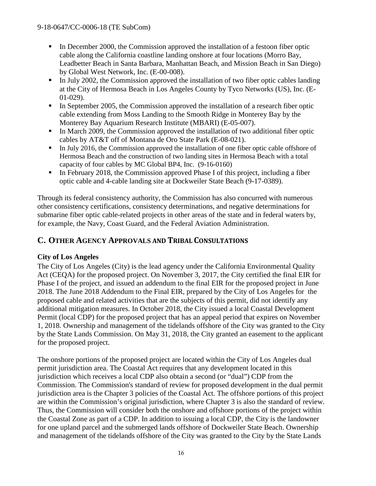- In December 2000, the Commission approved the installation of a festoon fiber optic cable along the California coastline landing onshore at four locations (Morro Bay, Leadbetter Beach in Santa Barbara, Manhattan Beach, and Mission Beach in San Diego) by Global West Network, Inc. (E-00-008).
- In July 2002, the Commission approved the installation of two fiber optic cables landing at the City of Hermosa Beach in Los Angeles County by Tyco Networks (US), Inc. (E-01-029).
- In September 2005, the Commission approved the installation of a research fiber optic cable extending from Moss Landing to the Smooth Ridge in Monterey Bay by the Monterey Bay Aquarium Research Institute (MBARI) (E-05-007).
- In March 2009, the Commission approved the installation of two additional fiber optic cables by AT&T off of Montana de Oro State Park (E-08-021).
- In July 2016, the Commission approved the installation of one fiber optic cable offshore of Hermosa Beach and the construction of two landing sites in Hermosa Beach with a total capacity of four cables by MC Global BP4, Inc. (9-16-0160)
- In February 2018, the Commission approved Phase I of this project, including a fiber optic cable and 4-cable landing site at Dockweiler State Beach (9-17-0389).

Through its federal consistency authority, the Commission has also concurred with numerous other consistency certifications, consistency determinations, and negative determinations for submarine fiber optic cable-related projects in other areas of the state and in federal waters by, for example, the Navy, Coast Guard, and the Federal Aviation Administration.

# <span id="page-15-0"></span>**C. OTHER AGENCY APPROVALS AND TRIBAL CONSULTATIONS**

#### **City of Los Angeles**

The City of Los Angeles (City) is the lead agency under the California Environmental Quality Act (CEQA) for the proposed project. On November 3, 2017, the City certified the final EIR for Phase I of the project, and issued an addendum to the final EIR for the proposed project in June 2018. The June 2018 Addendum to the Final EIR, prepared by the City of Los Angeles for the proposed cable and related activities that are the subjects of this permit, did not identify any additional mitigation measures. In October 2018, the City issued a local Coastal Development Permit (local CDP) for the proposed project that has an appeal period that expires on November 1, 2018. Ownership and management of the tidelands offshore of the City was granted to the City by the State Lands Commission. On May 31, 2018, the City granted an easement to the applicant for the proposed project.

The onshore portions of the proposed project are located within the City of Los Angeles dual permit jurisdiction area. The Coastal Act requires that any development located in this jurisdiction which receives a local CDP also obtain a second (or "dual") CDP from the Commission. The Commission's standard of review for proposed development in the dual permit jurisdiction area is the Chapter 3 policies of the Coastal Act. The offshore portions of this project are within the Commission's original jurisdiction, where Chapter 3 is also the standard of review. Thus, the Commission will consider both the onshore and offshore portions of the project within the Coastal Zone as part of a CDP. In addition to issuing a local CDP, the City is the landowner for one upland parcel and the submerged lands offshore of Dockweiler State Beach. Ownership and management of the tidelands offshore of the City was granted to the City by the State Lands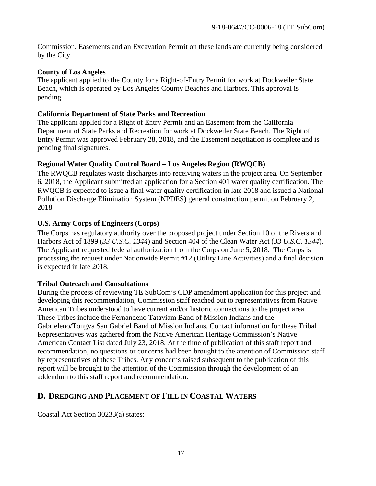Commission. Easements and an Excavation Permit on these lands are currently being considered by the City.

#### **County of Los Angeles**

The applicant applied to the County for a Right-of-Entry Permit for work at Dockweiler State Beach, which is operated by Los Angeles County Beaches and Harbors. This approval is pending.

#### **California Department of State Parks and Recreation**

The applicant applied for a Right of Entry Permit and an Easement from the California Department of State Parks and Recreation for work at Dockweiler State Beach. The Right of Entry Permit was approved February 28, 2018, and the Easement negotiation is complete and is pending final signatures.

#### **Regional Water Quality Control Board – Los Angeles Region (RWQCB)**

The RWQCB regulates waste discharges into receiving waters in the project area. On September 6, 2018, the Applicant submitted an application for a Section 401 water quality certification. The RWQCB is expected to issue a final water quality certification in late 2018 and issued a National Pollution Discharge Elimination System (NPDES) general construction permit on February 2, 2018.

#### **U.S. Army Corps of Engineers (Corps)**

The Corps has regulatory authority over the proposed project under Section 10 of the Rivers and Harbors Act of 1899 (*33 U.S.C. 1344*) and Section 404 of the Clean Water Act (*33 U.S.C. 1344*). The Applicant requested federal authorization from the Corps on June 5, 2018. The Corps is processing the request under Nationwide Permit #12 (Utility Line Activities) and a final decision is expected in late 2018.

#### **Tribal Outreach and Consultations**

During the process of reviewing TE SubCom's CDP amendment application for this project and developing this recommendation, Commission staff reached out to representatives from Native American Tribes understood to have current and/or historic connections to the project area. These Tribes include the Fernandeno Tataviam Band of Mission Indians and the Gabrieleno/Tongva San Gabriel Band of Mission Indians. Contact information for these Tribal Representatives was gathered from the Native American Heritage Commission's Native American Contact List dated July 23, 2018. At the time of publication of this staff report and recommendation, no questions or concerns had been brought to the attention of Commission staff by representatives of these Tribes. Any concerns raised subsequent to the publication of this report will be brought to the attention of the Commission through the development of an addendum to this staff report and recommendation.

## <span id="page-16-0"></span>**D. DREDGING AND PLACEMENT OF FILL IN COASTAL WATERS**

Coastal Act Section 30233(a) states: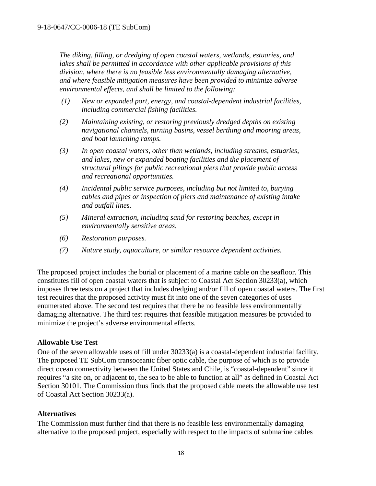*The diking, filling, or dredging of open coastal waters, wetlands, estuaries, and lakes shall be permitted in accordance with other applicable provisions of this division, where there is no feasible less environmentally damaging alternative, and where feasible mitigation measures have been provided to minimize adverse environmental effects, and shall be limited to the following:*

- *(1) New or expanded port, energy, and coastal-dependent industrial facilities, including commercial fishing facilities.*
- *(2) Maintaining existing, or restoring previously dredged depths on existing navigational channels, turning basins, vessel berthing and mooring areas, and boat launching ramps.*
- *(3) In open coastal waters, other than wetlands, including streams, estuaries, and lakes, new or expanded boating facilities and the placement of structural pilings for public recreational piers that provide public access and recreational opportunities.*
- *(4) Incidental public service purposes, including but not limited to, burying cables and pipes or inspection of piers and maintenance of existing intake and outfall lines.*
- *(5) Mineral extraction, including sand for restoring beaches, except in environmentally sensitive areas.*
- *(6) Restoration purposes.*
- *(7) Nature study, aquaculture, or similar resource dependent activities.*

The proposed project includes the burial or placement of a marine cable on the seafloor. This constitutes fill of open coastal waters that is subject to Coastal Act Section 30233(a), which imposes three tests on a project that includes dredging and/or fill of open coastal waters. The first test requires that the proposed activity must fit into one of the seven categories of uses enumerated above. The second test requires that there be no feasible less environmentally damaging alternative. The third test requires that feasible mitigation measures be provided to minimize the project's adverse environmental effects.

#### **Allowable Use Test**

One of the seven allowable uses of fill under 30233(a) is a coastal-dependent industrial facility. The proposed TE SubCom transoceanic fiber optic cable, the purpose of which is to provide direct ocean connectivity between the United States and Chile, is "coastal-dependent" since it requires "a site on, or adjacent to, the sea to be able to function at all" as defined in Coastal Act Section 30101. The Commission thus finds that the proposed cable meets the allowable use test of Coastal Act Section 30233(a).

#### **Alternatives**

The Commission must further find that there is no feasible less environmentally damaging alternative to the proposed project, especially with respect to the impacts of submarine cables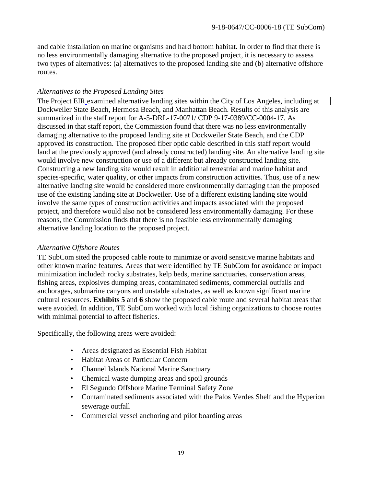and cable installation on marine organisms and hard bottom habitat. In order to find that there is no less environmentally damaging alternative to the proposed project, it is necessary to assess two types of alternatives: (a) alternatives to the proposed landing site and (b) alternative offshore routes.

#### *Alternatives to the Proposed Landing Sites*

The Project EIR examined alternative landing sites within the City of Los Angeles, including at Dockweiler State Beach, Hermosa Beach, and Manhattan Beach. Results of this analysis are summarized in the staff report for A-5-DRL-17-0071/ CDP 9-17-0389/CC-0004-17. As discussed in that staff report, the Commission found that there was no less environmentally damaging alternative to the proposed landing site at Dockweiler State Beach, and the CDP approved its construction. The proposed fiber optic cable described in this staff report would land at the previously approved (and already constructed) landing site. An alternative landing site would involve new construction or use of a different but already constructed landing site. Constructing a new landing site would result in additional terrestrial and marine habitat and species-specific, water quality, or other impacts from construction activities. Thus, use of a new alternative landing site would be considered more environmentally damaging than the proposed use of the existing landing site at Dockweiler. Use of a different existing landing site would involve the same types of construction activities and impacts associated with the proposed project, and therefore would also not be considered less environmentally damaging. For these reasons, the Commission finds that there is no feasible less environmentally damaging alternative landing location to the proposed project.

#### *Alternative Offshore Routes*

TE SubCom sited the proposed cable route to minimize or avoid sensitive marine habitats and other known marine features. Areas that were identified by TE SubCom for avoidance or impact minimization included: rocky substrates, kelp beds, marine sanctuaries, conservation areas, fishing areas, explosives dumping areas, contaminated sediments, commercial outfalls and anchorages, submarine canyons and unstable substrates, as well as known significant marine cultural resources. **Exhibits 5** and **6** show the proposed cable route and several habitat areas that were avoided. In addition, TE SubCom worked with local fishing organizations to choose routes with minimal potential to affect fisheries.

Specifically, the following areas were avoided:

- Areas designated as Essential Fish Habitat
- Habitat Areas of Particular Concern
- Channel Islands National Marine Sanctuary
- Chemical waste dumping areas and spoil grounds
- El Segundo Offshore Marine Terminal Safety Zone
- Contaminated sediments associated with the Palos Verdes Shelf and the Hyperion sewerage outfall
- Commercial vessel anchoring and pilot boarding areas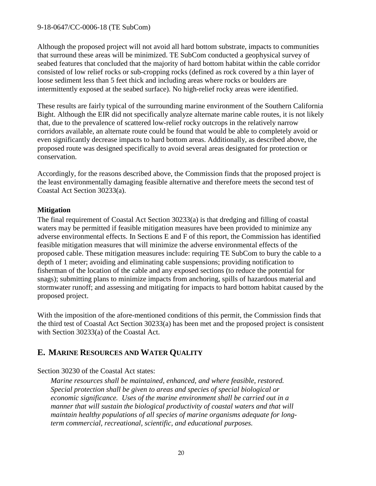Although the proposed project will not avoid all hard bottom substrate, impacts to communities that surround these areas will be minimized. TE SubCom conducted a geophysical survey of seabed features that concluded that the majority of hard bottom habitat within the cable corridor consisted of low relief rocks or sub-cropping rocks (defined as rock covered by a thin layer of loose sediment less than 5 feet thick and including areas where rocks or boulders are intermittently exposed at the seabed surface). No high-relief rocky areas were identified.

These results are fairly typical of the surrounding marine environment of the Southern California Bight. Although the EIR did not specifically analyze alternate marine cable routes, it is not likely that, due to the prevalence of scattered low-relief rocky outcrops in the relatively narrow corridors available, an alternate route could be found that would be able to completely avoid or even significantly decrease impacts to hard bottom areas. Additionally, as described above, the proposed route was designed specifically to avoid several areas designated for protection or conservation.

Accordingly, for the reasons described above, the Commission finds that the proposed project is the least environmentally damaging feasible alternative and therefore meets the second test of Coastal Act Section 30233(a).

#### **Mitigation**

The final requirement of Coastal Act Section 30233(a) is that dredging and filling of coastal waters may be permitted if feasible mitigation measures have been provided to minimize any adverse environmental effects. In Sections E and F of this report, the Commission has identified feasible mitigation measures that will minimize the adverse environmental effects of the proposed cable. These mitigation measures include: requiring TE SubCom to bury the cable to a depth of 1 meter; avoiding and eliminating cable suspensions; providing notification to fisherman of the location of the cable and any exposed sections (to reduce the potential for snags); submitting plans to minimize impacts from anchoring, spills of hazardous material and stormwater runoff; and assessing and mitigating for impacts to hard bottom habitat caused by the proposed project.

With the imposition of the afore-mentioned conditions of this permit, the Commission finds that the third test of Coastal Act Section 30233(a) has been met and the proposed project is consistent with Section 30233(a) of the Coastal Act.

# <span id="page-19-0"></span>**E. MARINE RESOURCES AND WATER QUALITY**

#### Section 30230 of the Coastal Act states:

*Marine resources shall be maintained, enhanced, and where feasible, restored. Special protection shall be given to areas and species of special biological or economic significance. Uses of the marine environment shall be carried out in a manner that will sustain the biological productivity of coastal waters and that will maintain healthy populations of all species of marine organisms adequate for longterm commercial, recreational, scientific, and educational purposes.*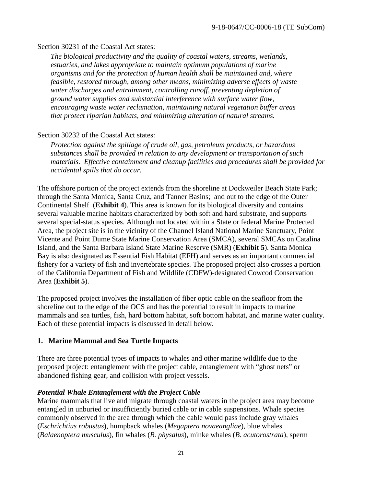#### Section 30231 of the Coastal Act states:

*The biological productivity and the quality of coastal waters, streams, wetlands, estuaries, and lakes appropriate to maintain optimum populations of marine organisms and for the protection of human health shall be maintained and, where feasible, restored through, among other means, minimizing adverse effects of waste water discharges and entrainment, controlling runoff, preventing depletion of ground water supplies and substantial interference with surface water flow, encouraging waste water reclamation, maintaining natural vegetation buffer areas that protect riparian habitats, and minimizing alteration of natural streams.*

#### Section 30232 of the Coastal Act states:

*Protection against the spillage of crude oil, gas, petroleum products, or hazardous substances shall be provided in relation to any development or transportation of such materials. Effective containment and cleanup facilities and procedures shall be provided for accidental spills that do occur.*

The offshore portion of the project extends from the shoreline at Dockweiler Beach State Park; through the Santa Monica, Santa Cruz, and Tanner Basins; and out to the edge of the Outer Continental Shelf (**Exhibit 4**). This area is known for its biological diversity and contains several valuable marine habitats characterized by both soft and hard substrate, and supports several special-status species. Although not located within a State or federal Marine Protected Area, the project site is in the vicinity of the Channel Island National Marine Sanctuary, Point Vicente and Point Dume State Marine Conservation Area (SMCA), several SMCAs on Catalina Island, and the Santa Barbara Island State Marine Reserve (SMR) (**Exhibit 5**). Santa Monica Bay is also designated as Essential Fish Habitat (EFH) and serves as an important commercial fishery for a variety of fish and invertebrate species. The proposed project also crosses a portion of the California Department of Fish and Wildlife (CDFW)-designated Cowcod Conservation Area (**Exhibit 5**).

The proposed project involves the installation of fiber optic cable on the seafloor from the shoreline out to the edge of the OCS and has the potential to result in impacts to marine mammals and sea turtles, fish, hard bottom habitat, soft bottom habitat, and marine water quality. Each of these potential impacts is discussed in detail below.

#### **1. Marine Mammal and Sea Turtle Impacts**

There are three potential types of impacts to whales and other marine wildlife due to the proposed project: entanglement with the project cable, entanglement with "ghost nets" or abandoned fishing gear, and collision with project vessels.

#### *Potential Whale Entanglement with the Project Cable*

Marine mammals that live and migrate through coastal waters in the project area may become entangled in unburied or insufficiently buried cable or in cable suspensions. Whale species commonly observed in the area through which the cable would pass include gray whales (*Eschrichtius robustus*), humpback whales (*Megaptera novaeangliae*), blue whales (*Balaenoptera musculus*), fin whales (*B. physalus*), minke whales (*B. acutorostrata*), sperm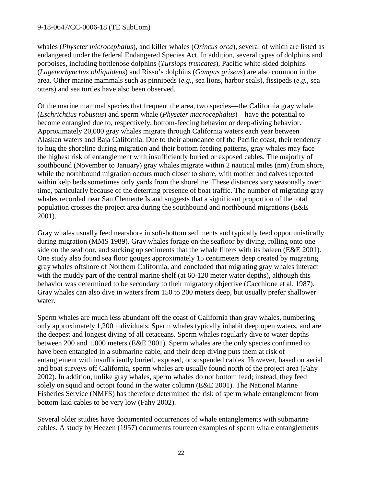whales (*Physeter microcephalus*), and killer whales (*Orincus orca*), several of which are listed as endangered under the federal Endangered Species Act. In addition, several types of dolphins and porpoises, including bottlenose dolphins (*Tursiops truncates*), Pacific white-sided dolphins (*Lagenorhynchus obliquidens*) and Risso's dolphins (*Gampus griseus*) are also common in the area. Other marine mammals such as pinnipeds (*e.g.,* sea lions, harbor seals), fissipeds (*e.g.,* sea otters) and sea turtles have also been observed.

Of the marine mammal species that frequent the area, two species—the California gray whale (*Eschrichtius robustus*) and sperm whale (*Physeter macrocephalus*)—have the potential to become entangled due to, respectively, bottom-feeding behavior or deep-diving behavior. Approximately 20,000 gray whales migrate through California waters each year between Alaskan waters and Baja California. Due to their abundance off the Pacific coast, their tendency to hug the shoreline during migration and their bottom feeding patterns, gray whales may face the highest risk of entanglement with insufficiently buried or exposed cables. The majority of southbound (November to January) gray whales migrate within 2 nautical miles (nm) from shore, while the northbound migration occurs much closer to shore, with mother and calves reported within kelp beds sometimes only yards from the shoreline. These distances vary seasonally over time, particularly because of the deterring presence of boat traffic. The number of migrating gray whales recorded near San Clemente Island suggests that a significant proportion of the total population crosses the project area during the southbound and northbound migrations (E&E 2001).

Gray whales usually feed nearshore in soft-bottom sediments and typically feed opportunistically during migration (MMS 1989). Gray whales forage on the seafloor by diving, rolling onto one side on the seafloor, and sucking up sediments that the whale filters with its baleen (E&E 2001). One study also found sea floor gouges approximately 15 centimeters deep created by migrating gray whales offshore of Northern California, and concluded that migrating gray whales interact with the muddy part of the central marine shelf (at 60-120 meter water depths), although this behavior was determined to be secondary to their migratory objective (Cacchione et al. 1987). Gray whales can also dive in waters from 150 to 200 meters deep, but usually prefer shallower water.

Sperm whales are much less abundant off the coast of California than gray whales, numbering only approximately 1,200 individuals. Sperm whales typically inhabit deep open waters, and are the deepest and longest diving of all cetaceans. Sperm whales regularly dive to water depths between 200 and 1,000 meters (E&E 2001). Sperm whales are the only species confirmed to have been entangled in a submarine cable, and their deep diving puts them at risk of entanglement with insufficiently buried, exposed, or suspended cables. However, based on aerial and boat surveys off California, sperm whales are usually found north of the project area (Fahy 2002). In addition, unlike gray whales, sperm whales do not bottom feed; instead, they feed solely on squid and octopi found in the water column (E&E 2001). The National Marine Fisheries Service (NMFS) has therefore determined the risk of sperm whale entanglement from bottom-laid cables to be very low (Fahy 2002).

Several older studies have documented occurrences of whale entanglements with submarine cables. A study by Heezen (1957) documents fourteen examples of sperm whale entanglements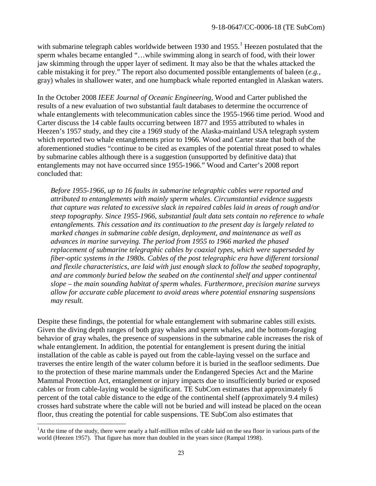with submarine telegraph cables worldwide between [1](#page-22-0)930 and 1955.<sup>1</sup> Heezen postulated that the sperm whales became entangled "…while swimming along in search of food, with their lower jaw skimming through the upper layer of sediment. It may also be that the whales attacked the cable mistaking it for prey." The report also documented possible entanglements of baleen (*e.g.,* gray) whales in shallower water, and one humpback whale reported entangled in Alaskan waters.

In the October 2008 *IEEE Journal of Oceanic Engineering*, Wood and Carter published the results of a new evaluation of two substantial fault databases to determine the occurrence of whale entanglements with telecommunication cables since the 1955-1966 time period. Wood and Carter discuss the 14 cable faults occurring between 1877 and 1955 attributed to whales in Heezen's 1957 study, and they cite a 1969 study of the Alaska-mainland USA telegraph system which reported two whale entanglements prior to 1966. Wood and Carter state that both of the aforementioned studies "continue to be cited as examples of the potential threat posed to whales by submarine cables although there is a suggestion (unsupported by definitive data) that entanglements may not have occurred since 1955-1966." Wood and Carter's 2008 report concluded that:

*Before 1955-1966, up to 16 faults in submarine telegraphic cables were reported and attributed to entanglements with mainly sperm whales. Circumstantial evidence suggests that capture was related to excessive slack in repaired cables laid in areas of rough and/or steep topography. Since 1955-1966, substantial fault data sets contain no reference to whale entanglements. This cessation and its continuation to the present day is largely related to marked changes in submarine cable design, deployment, and maintenance as well as advances in marine surveying. The period from 1955 to 1966 marked the phased replacement of submarine telegraphic cables by coaxial types, which were superseded by fiber-optic systems in the 1980s. Cables of the post telegraphic era have different torsional and flexile characteristics, are laid with just enough slack to follow the seabed topography, and are commonly buried below the seabed on the continental shelf and upper continental slope – the main sounding habitat of sperm whales. Furthermore, precision marine surveys allow for accurate cable placement to avoid areas where potential ensnaring suspensions may result.*

Despite these findings, the potential for whale entanglement with submarine cables still exists. Given the diving depth ranges of both gray whales and sperm whales, and the bottom-foraging behavior of gray whales, the presence of suspensions in the submarine cable increases the risk of whale entanglement. In addition, the potential for entanglement is present during the initial installation of the cable as cable is payed out from the cable-laying vessel on the surface and traverses the entire length of the water column before it is buried in the seafloor sediments. Due to the protection of these marine mammals under the Endangered Species Act and the Marine Mammal Protection Act, entanglement or injury impacts due to insufficiently buried or exposed cables or from cable-laying would be significant. TE SubCom estimates that approximately 6 percent of the total cable distance to the edge of the continental shelf (approximately 9.4 miles) crosses hard substrate where the cable will not be buried and will instead be placed on the ocean floor, thus creating the potential for cable suspensions. TE SubCom also estimates that

<span id="page-22-0"></span> $\frac{1}{1}$ <sup>1</sup>At the time of the study, there were nearly a half-million miles of cable laid on the sea floor in various parts of the world (Heezen 1957). That figure has more than doubled in the years since (Rampal 1998).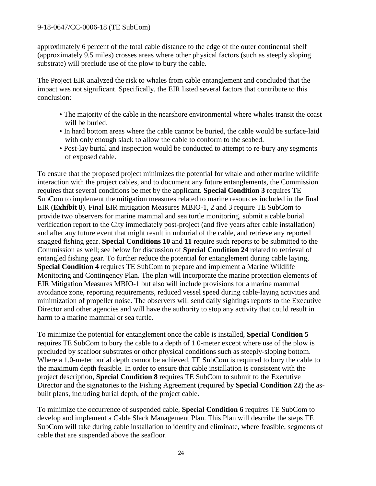approximately 6 percent of the total cable distance to the edge of the outer continental shelf (approximately 9.5 miles) crosses areas where other physical factors (such as steeply sloping substrate) will preclude use of the plow to bury the cable.

The Project EIR analyzed the risk to whales from cable entanglement and concluded that the impact was not significant. Specifically, the EIR listed several factors that contribute to this conclusion:

- The majority of the cable in the nearshore environmental where whales transit the coast will be buried.
- In hard bottom areas where the cable cannot be buried, the cable would be surface-laid with only enough slack to allow the cable to conform to the seabed.
- Post-lay burial and inspection would be conducted to attempt to re-bury any segments of exposed cable.

To ensure that the proposed project minimizes the potential for whale and other marine wildlife interaction with the project cables, and to document any future entanglements, the Commission requires that several conditions be met by the applicant. **Special Condition 3** requires TE SubCom to implement the mitigation measures related to marine resources included in the final EIR (**Exhibit 8**). Final EIR mitigation Measures MBIO-1, 2 and 3 require TE SubCom to provide two observers for marine mammal and sea turtle monitoring, submit a cable burial verification report to the City immediately post-project (and five years after cable installation) and after any future event that might result in unburial of the cable, and retrieve any reported snagged fishing gear. **Special Conditions 10** and **11** require such reports to be submitted to the Commission as well; see below for discussion of **Special Condition 24** related to retrieval of entangled fishing gear. To further reduce the potential for entanglement during cable laying, **Special Condition 4** requires TE SubCom to prepare and implement a Marine Wildlife Monitoring and Contingency Plan. The plan will incorporate the marine protection elements of EIR Mitigation Measures MBIO-1 but also will include provisions for a marine mammal avoidance zone, reporting requirements, reduced vessel speed during cable-laying activities and minimization of propeller noise. The observers will send daily sightings reports to the Executive Director and other agencies and will have the authority to stop any activity that could result in harm to a marine mammal or sea turtle.

To minimize the potential for entanglement once the cable is installed, **Special Condition 5** requires TE SubCom to bury the cable to a depth of 1.0-meter except where use of the plow is precluded by seafloor substrates or other physical conditions such as steeply-sloping bottom. Where a 1.0-meter burial depth cannot be achieved, TE SubCom is required to bury the cable to the maximum depth feasible. In order to ensure that cable installation is consistent with the project description, **Special Condition 8** requires TE SubCom to submit to the Executive Director and the signatories to the Fishing Agreement (required by **Special Condition 22**) the asbuilt plans, including burial depth, of the project cable.

To minimize the occurrence of suspended cable, **Special Condition 6** requires TE SubCom to develop and implement a Cable Slack Management Plan. This Plan will describe the steps TE SubCom will take during cable installation to identify and eliminate, where feasible, segments of cable that are suspended above the seafloor.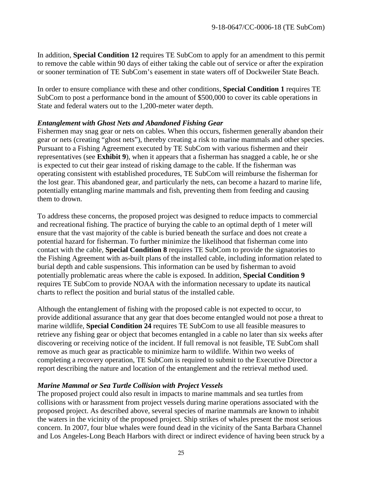In addition, **Special Condition 12** requires TE SubCom to apply for an amendment to this permit to remove the cable within 90 days of either taking the cable out of service or after the expiration or sooner termination of TE SubCom's easement in state waters off of Dockweiler State Beach.

In order to ensure compliance with these and other conditions, **Special Condition 1** requires TE SubCom to post a performance bond in the amount of \$500,000 to cover its cable operations in State and federal waters out to the 1,200-meter water depth.

#### *Entanglement with Ghost Nets and Abandoned Fishing Gear*

Fishermen may snag gear or nets on cables. When this occurs, fishermen generally abandon their gear or nets (creating "ghost nets"), thereby creating a risk to marine mammals and other species. Pursuant to a Fishing Agreement executed by TE SubCom with various fishermen and their representatives (see **Exhibit 9**), when it appears that a fisherman has snagged a cable, he or she is expected to cut their gear instead of risking damage to the cable. If the fisherman was operating consistent with established procedures, TE SubCom will reimburse the fisherman for the lost gear. This abandoned gear, and particularly the nets, can become a hazard to marine life, potentially entangling marine mammals and fish, preventing them from feeding and causing them to drown.

To address these concerns, the proposed project was designed to reduce impacts to commercial and recreational fishing. The practice of burying the cable to an optimal depth of 1 meter will ensure that the vast majority of the cable is buried beneath the surface and does not create a potential hazard for fisherman. To further minimize the likelihood that fisherman come into contact with the cable, **Special Condition 8** requires TE SubCom to provide the signatories to the Fishing Agreement with as-built plans of the installed cable, including information related to burial depth and cable suspensions. This information can be used by fisherman to avoid potentially problematic areas where the cable is exposed. In addition, **Special Condition 9** requires TE SubCom to provide NOAA with the information necessary to update its nautical charts to reflect the position and burial status of the installed cable.

Although the entanglement of fishing with the proposed cable is not expected to occur, to provide additional assurance that any gear that does become entangled would not pose a threat to marine wildlife, **Special Condition 24** requires TE SubCom to use all feasible measures to retrieve any fishing gear or object that becomes entangled in a cable no later than six weeks after discovering or receiving notice of the incident. If full removal is not feasible, TE SubCom shall remove as much gear as practicable to minimize harm to wildlife. Within two weeks of completing a recovery operation, TE SubCom is required to submit to the Executive Director a report describing the nature and location of the entanglement and the retrieval method used.

#### *Marine Mammal or Sea Turtle Collision with Project Vessels*

The proposed project could also result in impacts to marine mammals and sea turtles from collisions with or harassment from project vessels during marine operations associated with the proposed project. As described above, several species of marine mammals are known to inhabit the waters in the vicinity of the proposed project. Ship strikes of whales present the most serious concern. In 2007, four blue whales were found dead in the vicinity of the Santa Barbara Channel and Los Angeles-Long Beach Harbors with direct or indirect evidence of having been struck by a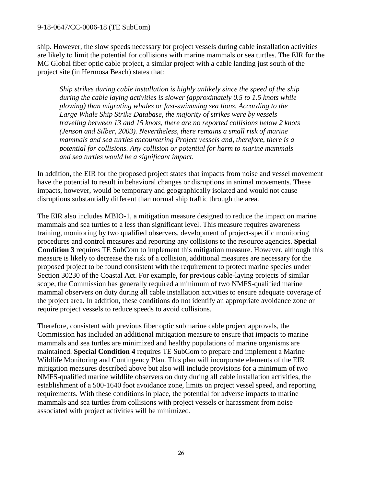ship. However, the slow speeds necessary for project vessels during cable installation activities are likely to limit the potential for collisions with marine mammals or sea turtles. The EIR for the MC Global fiber optic cable project, a similar project with a cable landing just south of the project site (in Hermosa Beach) states that:

*Ship strikes during cable installation is highly unlikely since the speed of the ship during the cable laying activities is slower (approximately 0.5 to 1.5 knots while plowing) than migrating whales or fast-swimming sea lions. According to the Large Whale Ship Strike Database, the majority of strikes were by vessels traveling between 13 and 15 knots, there are no reported collisions below 2 knots (Jenson and Silber, 2003). Nevertheless, there remains a small risk of marine mammals and sea turtles encountering Project vessels and, therefore, there is a potential for collisions. Any collision or potential for harm to marine mammals and sea turtles would be a significant impact.* 

In addition, the EIR for the proposed project states that impacts from noise and vessel movement have the potential to result in behavioral changes or disruptions in animal movements. These impacts, however, would be temporary and geographically isolated and would not cause disruptions substantially different than normal ship traffic through the area.

The EIR also includes MBIO-1, a mitigation measure designed to reduce the impact on marine mammals and sea turtles to a less than significant level. This measure requires awareness training, monitoring by two qualified observers, development of project-specific monitoring procedures and control measures and reporting any collisions to the resource agencies. **Special Condition 3** requires TE SubCom to implement this mitigation measure. However, although this measure is likely to decrease the risk of a collision, additional measures are necessary for the proposed project to be found consistent with the requirement to protect marine species under Section 30230 of the Coastal Act. For example, for previous cable-laying projects of similar scope, the Commission has generally required a minimum of two NMFS-qualified marine mammal observers on duty during all cable installation activities to ensure adequate coverage of the project area. In addition, these conditions do not identify an appropriate avoidance zone or require project vessels to reduce speeds to avoid collisions.

Therefore, consistent with previous fiber optic submarine cable project approvals, the Commission has included an additional mitigation measure to ensure that impacts to marine mammals and sea turtles are minimized and healthy populations of marine organisms are maintained. **Special Condition 4** requires TE SubCom to prepare and implement a Marine Wildlife Monitoring and Contingency Plan. This plan will incorporate elements of the EIR mitigation measures described above but also will include provisions for a minimum of two NMFS-qualified marine wildlife observers on duty during all cable installation activities, the establishment of a 500-1640 foot avoidance zone, limits on project vessel speed, and reporting requirements. With these conditions in place, the potential for adverse impacts to marine mammals and sea turtles from collisions with project vessels or harassment from noise associated with project activities will be minimized.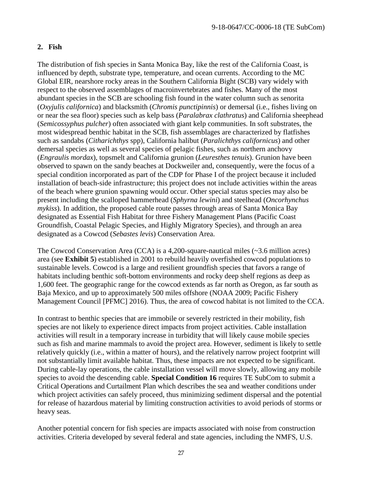#### **2. Fish**

The distribution of fish species in Santa Monica Bay, like the rest of the California Coast, is influenced by depth, substrate type, temperature, and ocean currents. According to the MC Global EIR, nearshore rocky areas in the Southern California Bight (SCB) vary widely with respect to the observed assemblages of macroinvertebrates and fishes. Many of the most abundant species in the SCB are schooling fish found in the water column such as senorita (*Oxyjulis californica*) and blacksmith (*Chromis punctipinnis*) or demersal (i.e., fishes living on or near the sea floor) species such as kelp bass (*Paralabrax clathratus*) and California sheephead (*Semicossyphus pulcher*) often associated with giant kelp communities. In soft substrates, the most widespread benthic habitat in the SCB, fish assemblages are characterized by flatfishes such as sandabs (*Citharichthys* spp), California halibut (*Paralichthys californicus*) and other demersal species as well as several species of pelagic fishes, such as northern anchovy (*Engraulis mordax*), topsmelt and California grunion (*Leuresthes tenuis*). Grunion have been observed to spawn on the sandy beaches at Dockweiler and, consequently, were the focus of a special condition incorporated as part of the CDP for Phase I of the project because it included installation of beach-side infrastructure; this project does not include activities within the areas of the beach where grunion spawning would occur. Other special status species may also be present including the scalloped hammerhead (*Sphyrna lewini*) and steelhead (*Oncorhynchus mykiss*). In addition, the proposed cable route passes through areas of Santa Monica Bay designated as Essential Fish Habitat for three Fishery Management Plans (Pacific Coast Groundfish, Coastal Pelagic Species, and Highly Migratory Species), and through an area designated as a Cowcod (*Sebastes levis*) Conservation Area.

The Cowcod Conservation Area (CCA) is a 4,200-square-nautical miles  $(\sim 3.6$  million acres) area (see **Exhibit 5**) established in 2001 to rebuild heavily overfished cowcod populations to sustainable levels. Cowcod is a large and resilient groundfish species that favors a range of habitats including benthic soft-bottom environments and rocky deep shelf regions as deep as 1,600 feet. The geographic range for the cowcod extends as far north as Oregon, as far south as Baja Mexico, and up to approximately 500 miles offshore (NOAA 2009; Pacific Fishery Management Council [PFMC] 2016). Thus, the area of cowcod habitat is not limited to the CCA.

In contrast to benthic species that are immobile or severely restricted in their mobility, fish species are not likely to experience direct impacts from project activities. Cable installation activities will result in a temporary increase in turbidity that will likely cause mobile species such as fish and marine mammals to avoid the project area. However, sediment is likely to settle relatively quickly (i.e., within a matter of hours), and the relatively narrow project footprint will not substantially limit available habitat. Thus, these impacts are not expected to be significant. During cable-lay operations, the cable installation vessel will move slowly, allowing any mobile species to avoid the descending cable. **Special Condition 16** requires TE SubCom to submit a Critical Operations and Curtailment Plan which describes the sea and weather conditions under which project activities can safely proceed, thus minimizing sediment dispersal and the potential for release of hazardous material by limiting construction activities to avoid periods of storms or heavy seas.

Another potential concern for fish species are impacts associated with noise from construction activities. Criteria developed by several federal and state agencies, including the NMFS, U.S.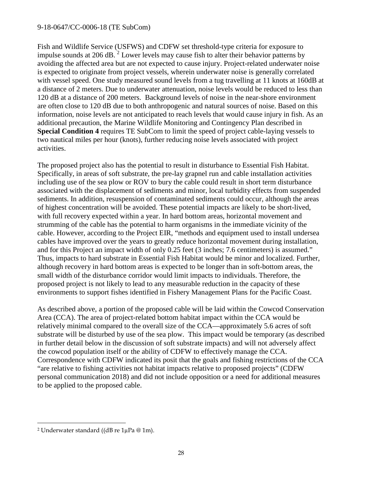Fish and Wildlife Service (USFWS) and CDFW set threshold-type criteria for exposure to impulse sounds at [2](#page-27-0)06 dB.  $^2$  Lower levels may cause fish to alter their behavior patterns by avoiding the affected area but are not expected to cause injury. Project-related underwater noise is expected to originate from project vessels, wherein underwater noise is generally correlated with vessel speed. One study measured sound levels from a tug travelling at 11 knots at 160dB at a distance of 2 meters. Due to underwater attenuation, noise levels would be reduced to less than 120 dB at a distance of 200 meters. Background levels of noise in the near-shore environment are often close to 120 dB due to both anthropogenic and natural sources of noise. Based on this information, noise levels are not anticipated to reach levels that would cause injury in fish. As an additional precaution, the Marine Wildlife Monitoring and Contingency Plan described in **Special Condition 4** requires TE SubCom to limit the speed of project cable-laying vessels to two nautical miles per hour (knots), further reducing noise levels associated with project activities.

The proposed project also has the potential to result in disturbance to Essential Fish Habitat. Specifically, in areas of soft substrate, the pre-lay grapnel run and cable installation activities including use of the sea plow or ROV to bury the cable could result in short term disturbance associated with the displacement of sediments and minor, local turbidity effects from suspended sediments. In addition, resuspension of contaminated sediments could occur, although the areas of highest concentration will be avoided. These potential impacts are likely to be short-lived, with full recovery expected within a year. In hard bottom areas, horizontal movement and strumming of the cable has the potential to harm organisms in the immediate vicinity of the cable. However, according to the Project EIR, "methods and equipment used to install undersea cables have improved over the years to greatly reduce horizontal movement during installation, and for this Project an impact width of only 0.25 feet (3 inches; 7.6 centimeters) is assumed." Thus, impacts to hard substrate in Essential Fish Habitat would be minor and localized. Further, although recovery in hard bottom areas is expected to be longer than in soft-bottom areas, the small width of the disturbance corridor would limit impacts to individuals. Therefore, the proposed project is not likely to lead to any measurable reduction in the capacity of these environments to support fishes identified in Fishery Management Plans for the Pacific Coast.

As described above, a portion of the proposed cable will be laid within the Cowcod Conservation Area (CCA). The area of project-related bottom habitat impact within the CCA would be relatively minimal compared to the overall size of the CCA—approximately 5.6 acres of soft substrate will be disturbed by use of the sea plow. This impact would be temporary (as described in further detail below in the discussion of soft substrate impacts) and will not adversely affect the cowcod population itself or the ability of CDFW to effectively manage the CCA. Correspondence with CDFW indicated its posit that the goals and fishing restrictions of the CCA "are relative to fishing activities not habitat impacts relative to proposed projects" (CDFW personal communication 2018) and did not include opposition or a need for additional measures to be applied to the proposed cable.

 $\overline{a}$ 

<span id="page-27-0"></span><sup>2</sup> Underwater standard ((dB re 1µPa @ 1m).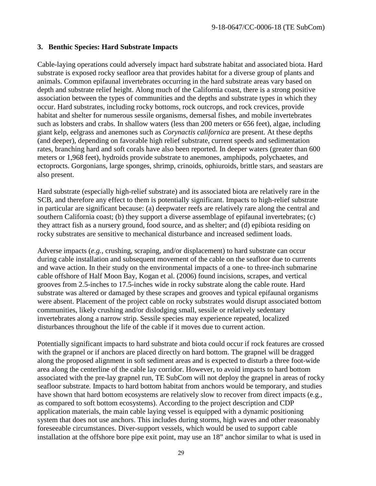#### **3. Benthic Species: Hard Substrate Impacts**

Cable-laying operations could adversely impact hard substrate habitat and associated biota. Hard substrate is exposed rocky seafloor area that provides habitat for a diverse group of plants and animals. Common epifaunal invertebrates occurring in the hard substrate areas vary based on depth and substrate relief height. Along much of the California coast, there is a strong positive association between the types of communities and the depths and substrate types in which they occur. Hard substrates, including rocky bottoms, rock outcrops, and rock crevices, provide habitat and shelter for numerous sessile organisms, demersal fishes, and mobile invertebrates such as lobsters and crabs. In shallow waters (less than 200 meters or 656 feet), algae, including giant kelp, eelgrass and anemones such as *Corynactis californica* are present. At these depths (and deeper), depending on favorable high relief substrate, current speeds and sedimentation rates, branching hard and soft corals have also been reported. In deeper waters (greater than 600 meters or 1,968 feet), hydroids provide substrate to anemones, amphipods, polychaetes, and ectoprocts. Gorgonians, large sponges, shrimp, crinoids, ophiuroids, brittle stars, and seastars are also present.

Hard substrate (especially high-relief substrate) and its associated biota are relatively rare in the SCB, and therefore any effect to them is potentially significant. Impacts to high-relief substrate in particular are significant because: (a) deepwater reefs are relatively rare along the central and southern California coast; (b) they support a diverse assemblage of epifaunal invertebrates; (c) they attract fish as a nursery ground, food source, and as shelter; and (d) epibiota residing on rocky substrates are sensitive to mechanical disturbance and increased sediment loads.

Adverse impacts (*e.g.,* crushing, scraping, and/or displacement) to hard substrate can occur during cable installation and subsequent movement of the cable on the seafloor due to currents and wave action. In their study on the environmental impacts of a one- to three-inch submarine cable offshore of Half Moon Bay, Kogan et al. (2006) found incisions, scrapes, and vertical grooves from 2.5-inches to 17.5-inches wide in rocky substrate along the cable route. Hard substrate was altered or damaged by these scrapes and grooves and typical epifaunal organisms were absent. Placement of the project cable on rocky substrates would disrupt associated bottom communities, likely crushing and/or dislodging small, sessile or relatively sedentary invertebrates along a narrow strip. Sessile species may experience repeated, localized disturbances throughout the life of the cable if it moves due to current action.

Potentially significant impacts to hard substrate and biota could occur if rock features are crossed with the grapnel or if anchors are placed directly on hard bottom. The grapnel will be dragged along the proposed alignment in soft sediment areas and is expected to disturb a three foot-wide area along the centerline of the cable lay corridor. However, to avoid impacts to hard bottom associated with the pre-lay grapnel run, TE SubCom will not deploy the grapnel in areas of rocky seafloor substrate*.* Impacts to hard bottom habitat from anchors would be temporary, and studies have shown that hard bottom ecosystems are relatively slow to recover from direct impacts (e.g., as compared to soft bottom ecosystems). According to the project description and CDP application materials, the main cable laying vessel is equipped with a dynamic positioning system that does not use anchors. This includes during storms, high waves and other reasonably foreseeable circumstances. Diver-support vessels, which would be used to support cable installation at the offshore bore pipe exit point, may use an 18" anchor similar to what is used in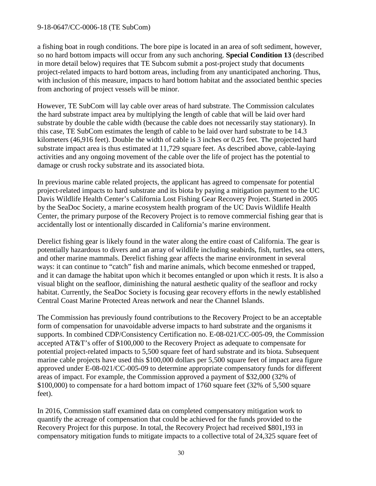a fishing boat in rough conditions. The bore pipe is located in an area of soft sediment, however, so no hard bottom impacts will occur from any such anchoring. **Special Condition 13** (described in more detail below) requires that TE Subcom submit a post-project study that documents project-related impacts to hard bottom areas, including from any unanticipated anchoring. Thus, with inclusion of this measure, impacts to hard bottom habitat and the associated benthic species from anchoring of project vessels will be minor.

However, TE SubCom will lay cable over areas of hard substrate. The Commission calculates the hard substrate impact area by multiplying the length of cable that will be laid over hard substrate by double the cable width (because the cable does not necessarily stay stationary). In this case, TE SubCom estimates the length of cable to be laid over hard substrate to be 14.3 kilometers (46,916 feet). Double the width of cable is 3 inches or 0.25 feet. The projected hard substrate impact area is thus estimated at 11,729 square feet. As described above, cable-laying activities and any ongoing movement of the cable over the life of project has the potential to damage or crush rocky substrate and its associated biota.

In previous marine cable related projects, the applicant has agreed to compensate for potential project-related impacts to hard substrate and its biota by paying a mitigation payment to the UC Davis Wildlife Health Center's California Lost Fishing Gear Recovery Project. Started in 2005 by the SeaDoc Society, a marine ecosystem health program of the UC Davis Wildlife Health Center, the primary purpose of the Recovery Project is to remove commercial fishing gear that is accidentally lost or intentionally discarded in California's marine environment.

Derelict fishing gear is likely found in the water along the entire coast of California. The gear is potentially hazardous to divers and an array of wildlife including seabirds, fish, turtles, sea otters, and other marine mammals. Derelict fishing gear affects the marine environment in several ways: it can continue to "catch" fish and marine animals, which become enmeshed or trapped, and it can damage the habitat upon which it becomes entangled or upon which it rests. It is also a visual blight on the seafloor, diminishing the natural aesthetic quality of the seafloor and rocky habitat. Currently, the SeaDoc Society is focusing gear recovery efforts in the newly established Central Coast Marine Protected Areas network and near the Channel Islands.

The Commission has previously found contributions to the Recovery Project to be an acceptable form of compensation for unavoidable adverse impacts to hard substrate and the organisms it supports. In combined CDP/Consistency Certification no. E-08-021/CC-005-09, the Commission accepted AT&T's offer of \$100,000 to the Recovery Project as adequate to compensate for potential project-related impacts to 5,500 square feet of hard substrate and its biota. Subsequent marine cable projects have used this \$100,000 dollars per 5,500 square feet of impact area figure approved under E-08-021/CC-005-09 to determine appropriate compensatory funds for different areas of impact. For example, the Commission approved a payment of \$32,000 (32% of \$100,000) to compensate for a hard bottom impact of 1760 square feet (32% of 5,500 square feet).

In 2016, Commission staff examined data on completed compensatory mitigation work to quantify the acreage of compensation that could be achieved for the funds provided to the Recovery Project for this purpose. In total, the Recovery Project had received \$801,193 in compensatory mitigation funds to mitigate impacts to a collective total of 24,325 square feet of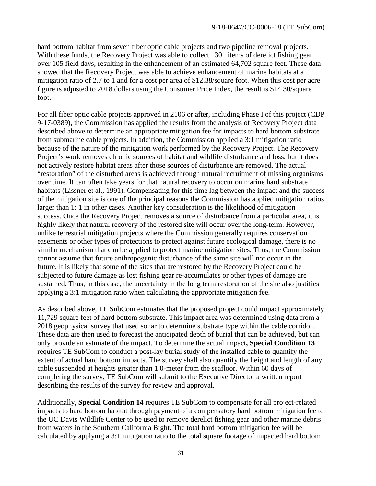hard bottom habitat from seven fiber optic cable projects and two pipeline removal projects. With these funds, the Recovery Project was able to collect 1301 items of derelict fishing gear over 105 field days, resulting in the enhancement of an estimated 64,702 square feet. These data showed that the Recovery Project was able to achieve enhancement of marine habitats at a mitigation ratio of 2.7 to 1 and for a cost per area of \$12.38/square foot. When this cost per acre figure is adjusted to 2018 dollars using the Consumer Price Index, the result is \$14.30/square foot.

For all fiber optic cable projects approved in 2106 or after, including Phase I of this project (CDP 9-17-0389), the Commission has applied the results from the analysis of Recovery Project data described above to determine an appropriate mitigation fee for impacts to hard bottom substrate from submarine cable projects. In addition, the Commission applied a 3:1 mitigation ratio because of the nature of the mitigation work performed by the Recovery Project. The Recovery Project's work removes chronic sources of habitat and wildlife disturbance and loss, but it does not actively restore habitat areas after those sources of disturbance are removed. The actual "restoration" of the disturbed areas is achieved through natural recruitment of missing organisms over time. It can often take years for that natural recovery to occur on marine hard substrate habitats (Lissner et al., 1991). Compensating for this time lag between the impact and the success of the mitigation site is one of the principal reasons the Commission has applied mitigation ratios larger than 1: 1 in other cases. Another key consideration is the likelihood of mitigation success. Once the Recovery Project removes a source of disturbance from a particular area, it is highly likely that natural recovery of the restored site will occur over the long-term. However, unlike terrestrial mitigation projects where the Commission generally requires conservation easements or other types of protections to protect against future ecological damage, there is no similar mechanism that can be applied to protect marine mitigation sites. Thus, the Commission cannot assume that future anthropogenic disturbance of the same site will not occur in the future. It is likely that some of the sites that are restored by the Recovery Project could be subjected to future damage as lost fishing gear re-accumulates or other types of damage are sustained. Thus, in this case, the uncertainty in the long term restoration of the site also justifies applying a 3:1 mitigation ratio when calculating the appropriate mitigation fee.

As described above, TE SubCom estimates that the proposed project could impact approximately 11,729 square feet of hard bottom substrate. This impact area was determined using data from a 2018 geophysical survey that used sonar to determine substrate type within the cable corridor. These data are then used to forecast the anticipated depth of burial that can be achieved, but can only provide an estimate of the impact. To determine the actual impact**, Special Condition 13** requires TE SubCom to conduct a post-lay burial study of the installed cable to quantify the extent of actual hard bottom impacts. The survey shall also quantify the height and length of any cable suspended at heights greater than 1.0-meter from the seafloor. Within 60 days of completing the survey, TE SubCom will submit to the Executive Director a written report describing the results of the survey for review and approval.

Additionally, **Special Condition 14** requires TE SubCom to compensate for all project-related impacts to hard bottom habitat through payment of a compensatory hard bottom mitigation fee to the UC Davis Wildlife Center to be used to remove derelict fishing gear and other marine debris from waters in the Southern California Bight. The total hard bottom mitigation fee will be calculated by applying a 3:1 mitigation ratio to the total square footage of impacted hard bottom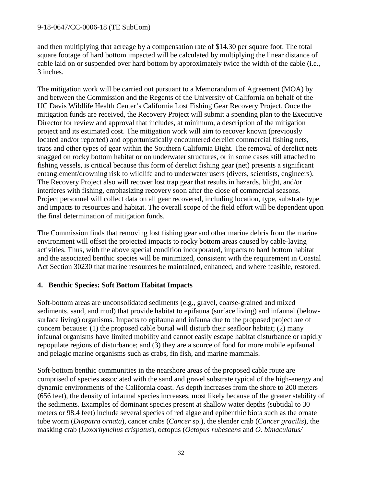and then multiplying that acreage by a compensation rate of \$14.30 per square foot. The total square footage of hard bottom impacted will be calculated by multiplying the linear distance of cable laid on or suspended over hard bottom by approximately twice the width of the cable (i.e., 3 inches.

The mitigation work will be carried out pursuant to a Memorandum of Agreement (MOA) by and between the Commission and the Regents of the University of California on behalf of the UC Davis Wildlife Health Center's California Lost Fishing Gear Recovery Project. Once the mitigation funds are received, the Recovery Project will submit a spending plan to the Executive Director for review and approval that includes, at minimum, a description of the mitigation project and its estimated cost. The mitigation work will aim to recover known (previously located and/or reported) and opportunistically encountered derelict commercial fishing nets, traps and other types of gear within the Southern California Bight. The removal of derelict nets snagged on rocky bottom habitat or on underwater structures, or in some cases still attached to fishing vessels, is critical because this form of derelict fishing gear (net) presents a significant entanglement/drowning risk to wildlife and to underwater users (divers, scientists, engineers). The Recovery Project also will recover lost trap gear that results in hazards, blight, and/or interferes with fishing, emphasizing recovery soon after the close of commercial seasons. Project personnel will collect data on all gear recovered, including location, type, substrate type and impacts to resources and habitat. The overall scope of the field effort will be dependent upon the final determination of mitigation funds.

The Commission finds that removing lost fishing gear and other marine debris from the marine environment will offset the projected impacts to rocky bottom areas caused by cable-laying activities. Thus, with the above special condition incorporated, impacts to hard bottom habitat and the associated benthic species will be minimized, consistent with the requirement in Coastal Act Section 30230 that marine resources be maintained, enhanced, and where feasible, restored.

#### **4. Benthic Species: Soft Bottom Habitat Impacts**

Soft-bottom areas are unconsolidated sediments (e.g., gravel, coarse-grained and mixed sediments, sand, and mud) that provide habitat to epifauna (surface living) and infaunal (belowsurface living) organisms. Impacts to epifauna and infauna due to the proposed project are of concern because: (1) the proposed cable burial will disturb their seafloor habitat; (2) many infaunal organisms have limited mobility and cannot easily escape habitat disturbance or rapidly repopulate regions of disturbance; and (3) they are a source of food for more mobile epifaunal and pelagic marine organisms such as crabs, fin fish, and marine mammals.

Soft-bottom benthic communities in the nearshore areas of the proposed cable route are comprised of species associated with the sand and gravel substrate typical of the high-energy and dynamic environments of the California coast. As depth increases from the shore to 200 meters (656 feet), the density of infaunal species increases, most likely because of the greater stability of the sediments. Examples of dominant species present at shallow water depths (subtidal to 30 meters or 98.4 feet) include several species of red algae and epibenthic biota such as the ornate tube worm (*Diopatra ornata*), cancer crabs (*Cancer* sp.), the slender crab (*Cancer gracilis*), the masking crab (*Loxorhynchus crispatus*), octopus (*Octopus rubescens* and *O. bimaculatus/*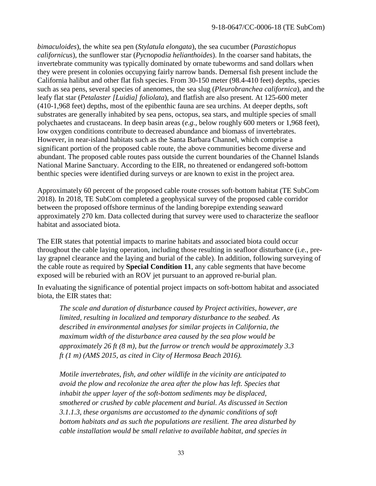*bimaculoides*), the white sea pen (*Stylatula elongata*), the sea cucumber (*Parastichopus californicus*), the sunflower star (*Pycnopodia helianthoides*). In the coarser sand habitats, the invertebrate community was typically dominated by ornate tubeworms and sand dollars when they were present in colonies occupying fairly narrow bands. Demersal fish present include the California halibut and other flat fish species. From 30-150 meter (98.4-410 feet) depths, species such as sea pens, several species of anenomes, the sea slug (*Pleurobranchea californica*), and the leafy flat star (*Petalaster [Luidia] foliolata*), and flatfish are also present. At 125-600 meter (410-1,968 feet) depths, most of the epibenthic fauna are sea urchins. At deeper depths, soft substrates are generally inhabited by sea pens, octopus, sea stars, and multiple species of small polychaetes and crustaceans. In deep basin areas (*e.g.,* below roughly 600 meters or 1,968 feet), low oxygen conditions contribute to decreased abundance and biomass of invertebrates. However, in near-island habitats such as the Santa Barbara Channel, which comprise a significant portion of the proposed cable route, the above communities become diverse and abundant. The proposed cable routes pass outside the current boundaries of the Channel Islands National Marine Sanctuary. According to the EIR, no threatened or endangered soft-bottom benthic species were identified during surveys or are known to exist in the project area.

Approximately 60 percent of the proposed cable route crosses soft-bottom habitat (TE SubCom 2018). In 2018, TE SubCom completed a geophysical survey of the proposed cable corridor between the proposed offshore terminus of the landing borepipe extending seaward approximately 270 km. Data collected during that survey were used to characterize the seafloor habitat and associated biota.

The EIR states that potential impacts to marine habitats and associated biota could occur throughout the cable laying operation, including those resulting in seafloor disturbance (i.e., prelay grapnel clearance and the laying and burial of the cable). In addition, following surveying of the cable route as required by **Special Condition 11**, any cable segments that have become exposed will be reburied with an ROV jet pursuant to an approved re-burial plan.

In evaluating the significance of potential project impacts on soft-bottom habitat and associated biota, the EIR states that:

*The scale and duration of disturbance caused by Project activities, however, are limited, resulting in localized and temporary disturbance to the seabed. As described in environmental analyses for similar projects in California, the maximum width of the disturbance area caused by the sea plow would be approximately 26 ft (8 m), but the furrow or trench would be approximately 3.3 ft (1 m) (AMS 2015, as cited in City of Hermosa Beach 2016).* 

*Motile invertebrates, fish, and other wildlife in the vicinity are anticipated to avoid the plow and recolonize the area after the plow has left. Species that inhabit the upper layer of the soft-bottom sediments may be displaced, smothered or crushed by cable placement and burial. As discussed in Section 3.1.1.3, these organisms are accustomed to the dynamic conditions of soft bottom habitats and as such the populations are resilient. The area disturbed by cable installation would be small relative to available habitat, and species in*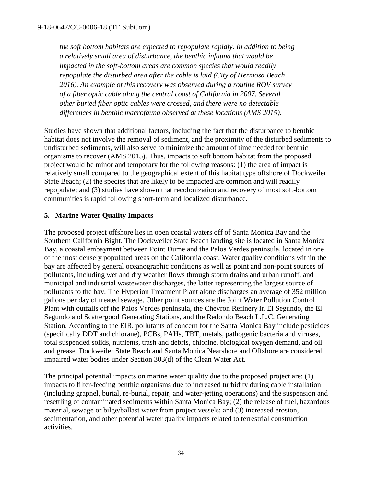*the soft bottom habitats are expected to repopulate rapidly. In addition to being a relatively small area of disturbance, the benthic infauna that would be impacted in the soft-bottom areas are common species that would readily repopulate the disturbed area after the cable is laid (City of Hermosa Beach 2016). An example of this recovery was observed during a routine ROV survey of a fiber optic cable along the central coast of California in 2007. Several other buried fiber optic cables were crossed, and there were no detectable differences in benthic macrofauna observed at these locations (AMS 2015).*

Studies have shown that additional factors, including the fact that the disturbance to benthic habitat does not involve the removal of sediment, and the proximity of the disturbed sediments to undisturbed sediments, will also serve to minimize the amount of time needed for benthic organisms to recover (AMS 2015). Thus, impacts to soft bottom habitat from the proposed project would be minor and temporary for the following reasons: (1) the area of impact is relatively small compared to the geographical extent of this habitat type offshore of Dockweiler State Beach; (2) the species that are likely to be impacted are common and will readily repopulate; and (3) studies have shown that recolonization and recovery of most soft-bottom communities is rapid following short-term and localized disturbance.

## **5. Marine Water Quality Impacts**

The proposed project offshore lies in open coastal waters off of Santa Monica Bay and the Southern California Bight. The Dockweiler State Beach landing site is located in Santa Monica Bay, a coastal embayment between Point Dume and the Palos Verdes peninsula, located in one of the most densely populated areas on the California coast. Water quality conditions within the bay are affected by general oceanographic conditions as well as point and non-point sources of pollutants, including wet and dry weather flows through storm drains and urban runoff, and municipal and industrial wastewater discharges, the latter representing the largest source of pollutants to the bay. The Hyperion Treatment Plant alone discharges an average of 352 million gallons per day of treated sewage. Other point sources are the Joint Water Pollution Control Plant with outfalls off the Palos Verdes peninsula, the Chevron Refinery in El Segundo, the El Segundo and Scattergood Generating Stations, and the Redondo Beach L.L.C. Generating Station. According to the EIR, pollutants of concern for the Santa Monica Bay include pesticides (specifically DDT and chlorane), PCBs, PAHs, TBT, metals, pathogenic bacteria and viruses, total suspended solids, nutrients, trash and debris, chlorine, biological oxygen demand, and oil and grease. Dockweiler State Beach and Santa Monica Nearshore and Offshore are considered impaired water bodies under Section 303(d) of the Clean Water Act.

The principal potential impacts on marine water quality due to the proposed project are: (1) impacts to filter-feeding benthic organisms due to increased turbidity during cable installation (including grapnel, burial, re-burial, repair, and water-jetting operations) and the suspension and resettling of contaminated sediments within Santa Monica Bay; (2) the release of fuel, hazardous material, sewage or bilge/ballast water from project vessels; and (3) increased erosion, sedimentation, and other potential water quality impacts related to terrestrial construction activities.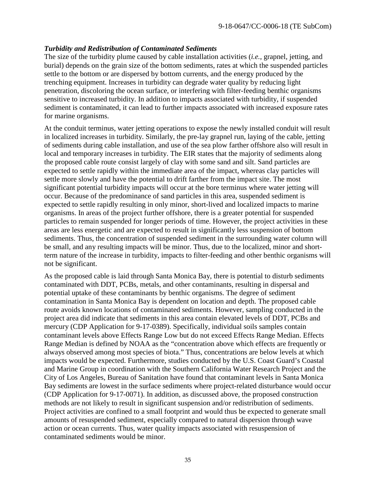#### *Turbidity and Redistribution of Contaminated Sediments*

The size of the turbidity plume caused by cable installation activities (*i.e.*, grapnel, jetting, and burial) depends on the grain size of the bottom sediments, rates at which the suspended particles settle to the bottom or are dispersed by bottom currents, and the energy produced by the trenching equipment. Increases in turbidity can degrade water quality by reducing light penetration, discoloring the ocean surface, or interfering with filter-feeding benthic organisms sensitive to increased turbidity. In addition to impacts associated with turbidity, if suspended sediment is contaminated, it can lead to further impacts associated with increased exposure rates for marine organisms.

At the conduit terminus, water jetting operations to expose the newly installed conduit will result in localized increases in turbidity. Similarly, the pre-lay grapnel run, laying of the cable, jetting of sediments during cable installation, and use of the sea plow farther offshore also will result in local and temporary increases in turbidity. The EIR states that the majority of sediments along the proposed cable route consist largely of clay with some sand and silt. Sand particles are expected to settle rapidly within the immediate area of the impact, whereas clay particles will settle more slowly and have the potential to drift farther from the impact site. The most significant potential turbidity impacts will occur at the bore terminus where water jetting will occur. Because of the predominance of sand particles in this area, suspended sediment is expected to settle rapidly resulting in only minor, short-lived and localized impacts to marine organisms. In areas of the project further offshore, there is a greater potential for suspended particles to remain suspended for longer periods of time. However, the project activities in these areas are less energetic and are expected to result in significantly less suspension of bottom sediments. Thus, the concentration of suspended sediment in the surrounding water column will be small, and any resulting impacts will be minor. Thus, due to the localized, minor and shortterm nature of the increase in turbidity, impacts to filter-feeding and other benthic organisms will not be significant.

As the proposed cable is laid through Santa Monica Bay, there is potential to disturb sediments contaminated with DDT, PCBs, metals, and other contaminants, resulting in dispersal and potential uptake of these contaminants by benthic organisms. The degree of sediment contamination in Santa Monica Bay is dependent on location and depth. The proposed cable route avoids known locations of contaminated sediments. However, sampling conducted in the project area did indicate that sediments in this area contain elevated levels of DDT, PCBs and mercury (CDP Application for 9-17-0389). Specifically, individual soils samples contain contaminant levels above Effects Range Low but do not exceed Effects Range Median. Effects Range Median is defined by NOAA as the "concentration above which effects are frequently or always observed among most species of biota." Thus, concentrations are below levels at which impacts would be expected. Furthermore, studies conducted by the U.S. Coast Guard's Coastal and Marine Group in coordination with the Southern California Water Research Project and the City of Los Angeles, Bureau of Sanitation have found that contaminant levels in Santa Monica Bay sediments are lowest in the surface sediments where project-related disturbance would occur (CDP Application for 9-17-0071). In addition, as discussed above, the proposed construction methods are not likely to result in significant suspension and/or redistribution of sediments. Project activities are confined to a small footprint and would thus be expected to generate small amounts of resuspended sediment, especially compared to natural dispersion through wave action or ocean currents. Thus, water quality impacts associated with resuspension of contaminated sediments would be minor.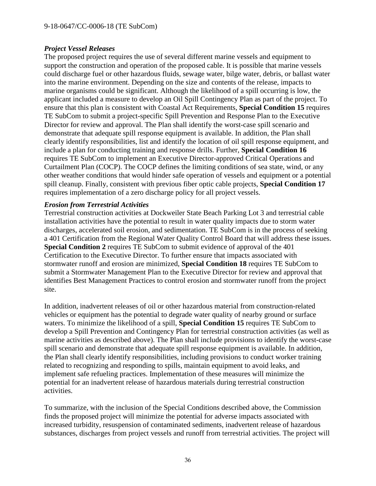#### *Project Vessel Releases*

The proposed project requires the use of several different marine vessels and equipment to support the construction and operation of the proposed cable. It is possible that marine vessels could discharge fuel or other hazardous fluids, sewage water, bilge water, debris, or ballast water into the marine environment. Depending on the size and contents of the release, impacts to marine organisms could be significant. Although the likelihood of a spill occurring is low, the applicant included a measure to develop an Oil Spill Contingency Plan as part of the project. To ensure that this plan is consistent with Coastal Act Requirements, **Special Condition 15** requires TE SubCom to submit a project-specific Spill Prevention and Response Plan to the Executive Director for review and approval. The Plan shall identify the worst-case spill scenario and demonstrate that adequate spill response equipment is available. In addition, the Plan shall clearly identify responsibilities, list and identify the location of oil spill response equipment, and include a plan for conducting training and response drills. Further, **Special Condition 16** requires TE SubCom to implement an Executive Director-approved Critical Operations and Curtailment Plan (COCP). The COCP defines the limiting conditions of sea state, wind, or any other weather conditions that would hinder safe operation of vessels and equipment or a potential spill cleanup. Finally, consistent with previous fiber optic cable projects, **Special Condition 17** requires implementation of a zero discharge policy for all project vessels.

#### *Erosion from Terrestrial Activities*

Terrestrial construction activities at Dockweiler State Beach Parking Lot 3 and terrestrial cable installation activities have the potential to result in water quality impacts due to storm water discharges, accelerated soil erosion, and sedimentation. TE SubCom is in the process of seeking a 401 Certification from the Regional Water Quality Control Board that will address these issues. **Special Condition 2** requires TE SubCom to submit evidence of approval of the 401 Certification to the Executive Director. To further ensure that impacts associated with stormwater runoff and erosion are minimized, **Special Condition 18** requires TE SubCom to submit a Stormwater Management Plan to the Executive Director for review and approval that identifies Best Management Practices to control erosion and stormwater runoff from the project site.

In addition, inadvertent releases of oil or other hazardous material from construction-related vehicles or equipment has the potential to degrade water quality of nearby ground or surface waters. To minimize the likelihood of a spill, **Special Condition 15** requires TE SubCom to develop a Spill Prevention and Contingency Plan for terrestrial construction activities (as well as marine activities as described above). The Plan shall include provisions to identify the worst-case spill scenario and demonstrate that adequate spill response equipment is available. In addition, the Plan shall clearly identify responsibilities, including provisions to conduct worker training related to recognizing and responding to spills, maintain equipment to avoid leaks, and implement safe refueling practices. Implementation of these measures will minimize the potential for an inadvertent release of hazardous materials during terrestrial construction activities.

To summarize, with the inclusion of the Special Conditions described above, the Commission finds the proposed project will minimize the potential for adverse impacts associated with increased turbidity, resuspension of contaminated sediments, inadvertent release of hazardous substances, discharges from project vessels and runoff from terrestrial activities. The project will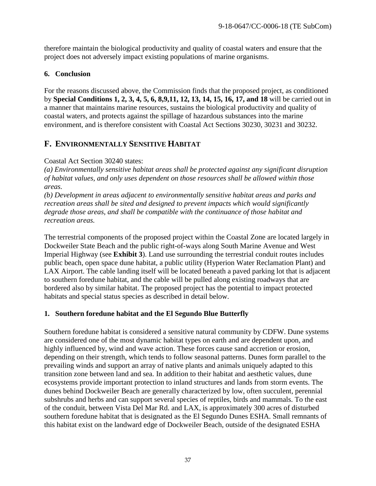therefore maintain the biological productivity and quality of coastal waters and ensure that the project does not adversely impact existing populations of marine organisms.

## **6. Conclusion**

For the reasons discussed above, the Commission finds that the proposed project, as conditioned by **Special Conditions 1, 2, 3, 4, 5, 6, 8,9,11, 12, 13, 14, 15, 16, 17, and 18** will be carried out in a manner that maintains marine resources, sustains the biological productivity and quality of coastal waters, and protects against the spillage of hazardous substances into the marine environment, and is therefore consistent with Coastal Act Sections 30230, 30231 and 30232.

# <span id="page-36-0"></span>**F. ENVIRONMENTALLY SENSITIVE HABITAT**

## Coastal Act Section 30240 states:

*(a) Environmentally sensitive habitat areas shall be protected against any significant disruption of habitat values, and only uses dependent on those resources shall be allowed within those areas.* 

*(b) Development in areas adjacent to environmentally sensitive habitat areas and parks and recreation areas shall be sited and designed to prevent impacts which would significantly degrade those areas, and shall be compatible with the continuance of those habitat and recreation areas.* 

The terrestrial components of the proposed project within the Coastal Zone are located largely in Dockweiler State Beach and the public right-of-ways along South Marine Avenue and West Imperial Highway (see **Exhibit 3**). Land use surrounding the terrestrial conduit routes includes public beach, open space dune habitat, a public utility (Hyperion Water Reclamation Plant) and LAX Airport. The cable landing itself will be located beneath a paved parking lot that is adjacent to southern foredune habitat, and the cable will be pulled along existing roadways that are bordered also by similar habitat. The proposed project has the potential to impact protected habitats and special status species as described in detail below.

# **1. Southern foredune habitat and the El Segundo Blue Butterfly**

Southern foredune habitat is considered a sensitive natural community by CDFW. Dune systems are considered one of the most dynamic habitat types on earth and are dependent upon, and highly influenced by, wind and wave action. These forces cause sand accretion or erosion, depending on their strength, which tends to follow seasonal patterns. Dunes form parallel to the prevailing winds and support an array of native plants and animals uniquely adapted to this transition zone between land and sea. In addition to their habitat and aesthetic values, dune ecosystems provide important protection to inland structures and lands from storm events. The dunes behind Dockweiler Beach are generally characterized by low, often succulent, perennial subshrubs and herbs and can support several species of reptiles, birds and mammals. To the east of the conduit, between Vista Del Mar Rd. and LAX, is approximately 300 acres of disturbed southern foredune habitat that is designated as the El Segundo Dunes ESHA. Small remnants of this habitat exist on the landward edge of Dockweiler Beach, outside of the designated ESHA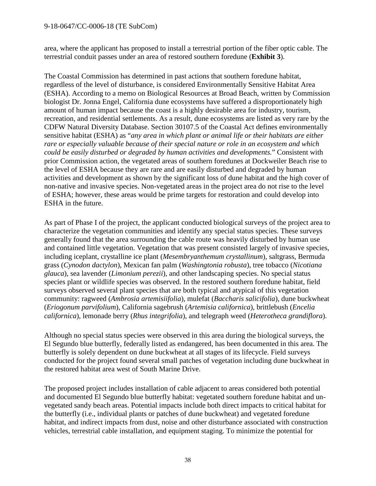area, where the applicant has proposed to install a terrestrial portion of the fiber optic cable. The terrestrial conduit passes under an area of restored southern foredune (**Exhibit 3**).

The Coastal Commission has determined in past actions that southern foredune habitat, regardless of the level of disturbance, is considered Environmentally Sensitive Habitat Area (ESHA). According to a memo on Biological Resources at Broad Beach, written by Commission biologist Dr. Jonna Engel, California dune ecosystems have suffered a disproportionately high amount of human impact because the coast is a highly desirable area for industry, tourism, recreation, and residential settlements. As a result, dune ecosystems are listed as very rare by the CDFW Natural Diversity Database. Section 30107.5 of the Coastal Act defines environmentally sensitive habitat (ESHA) as "*any area in which plant or animal life or their habitats are either rare or especially valuable because of their special nature or role in an ecosystem and which could be easily disturbed or degraded by human activities and developments.*" Consistent with prior Commission action, the vegetated areas of southern foredunes at Dockweiler Beach rise to the level of ESHA because they are rare and are easily disturbed and degraded by human activities and development as shown by the significant loss of dune habitat and the high cover of non-native and invasive species. Non-vegetated areas in the project area do not rise to the level of ESHA; however, these areas would be prime targets for restoration and could develop into ESHA in the future.

As part of Phase I of the project, the applicant conducted biological surveys of the project area to characterize the vegetation communities and identify any special status species. These surveys generally found that the area surrounding the cable route was heavily disturbed by human use and contained little vegetation. Vegetation that was present consisted largely of invasive species, including iceplant, crystalline ice plant (*Mesembryanthemum crystallinum*), saltgrass, Bermuda grass (*Cynodon dactylon*), Mexican fan palm (*Washingtonia robusta*), tree tobacco (*Nicotiana glauca*), sea lavender (*Limonium perezii*), and other landscaping species. No special status species plant or wildlife species was observed. In the restored southern foredune habitat, field surveys observed several plant species that are both typical and atypical of this vegetation community: ragweed (*Ambrosia artemisiifolia*), mulefat (*Baccharis salicifolia*), dune buckwheat (*Eriogonum parvifolium*), California sagebrush (*Artemisia californica*), brittlebush (*Encelia californica*), lemonade berry (*Rhus integrifolia*), and telegraph weed (*Heterotheca grandiflora*).

Although no special status species were observed in this area during the biological surveys, the El Segundo blue butterfly, federally listed as endangered, has been documented in this area. The butterfly is solely dependent on dune buckwheat at all stages of its lifecycle. Field surveys conducted for the project found several small patches of vegetation including dune buckwheat in the restored habitat area west of South Marine Drive.

The proposed project includes installation of cable adjacent to areas considered both potential and documented El Segundo blue butterfly habitat: vegetated southern foredune habitat and unvegetated sandy beach areas. Potential impacts include both direct impacts to critical habitat for the butterfly (i.e., individual plants or patches of dune buckwheat) and vegetated foredune habitat, and indirect impacts from dust, noise and other disturbance associated with construction vehicles, terrestrial cable installation, and equipment staging. To minimize the potential for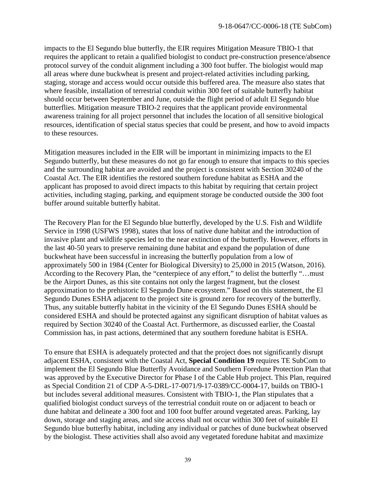impacts to the El Segundo blue butterfly, the EIR requires Mitigation Measure TBIO-1 that requires the applicant to retain a qualified biologist to conduct pre-construction presence/absence protocol survey of the conduit alignment including a 300 foot buffer. The biologist would map all areas where dune buckwheat is present and project-related activities including parking, staging, storage and access would occur outside this buffered area. The measure also states that where feasible, installation of terrestrial conduit within 300 feet of suitable butterfly habitat should occur between September and June, outside the flight period of adult El Segundo blue butterflies. Mitigation measure TBIO-2 requires that the applicant provide environmental awareness training for all project personnel that includes the location of all sensitive biological resources, identification of special status species that could be present, and how to avoid impacts to these resources.

Mitigation measures included in the EIR will be important in minimizing impacts to the El Segundo butterfly, but these measures do not go far enough to ensure that impacts to this species and the surrounding habitat are avoided and the project is consistent with Section 30240 of the Coastal Act. The EIR identifies the restored southern foredune habitat as ESHA and the applicant has proposed to avoid direct impacts to this habitat by requiring that certain project activities, including staging, parking, and equipment storage be conducted outside the 300 foot buffer around suitable butterfly habitat.

The Recovery Plan for the El Segundo blue butterfly, developed by the U.S. Fish and Wildlife Service in 1998 (USFWS 1998), states that loss of native dune habitat and the introduction of invasive plant and wildlife species led to the near extinction of the butterfly. However, efforts in the last 40-50 years to preserve remaining dune habitat and expand the population of dune buckwheat have been successful in increasing the butterfly population from a low of approximately 500 in 1984 (Center for Biological Diversity) to 25,000 in 2015 (Watson, 2016). According to the Recovery Plan, the "centerpiece of any effort," to delist the butterfly "…must be the Airport Dunes, as this site contains not only the largest fragment, but the closest approximation to the prehistoric El Segundo Dune ecosystem." Based on this statement, the El Segundo Dunes ESHA adjacent to the project site is ground zero for recovery of the butterfly. Thus, any suitable butterfly habitat in the vicinity of the El Segundo Dunes ESHA should be considered ESHA and should be protected against any significant disruption of habitat values as required by Section 30240 of the Coastal Act. Furthermore, as discussed earlier, the Coastal Commission has, in past actions, determined that any southern foredune habitat is ESHA.

To ensure that ESHA is adequately protected and that the project does not significantly disrupt adjacent ESHA, consistent with the Coastal Act, **Special Condition 19** requires TE SubCom to implement the El Segundo Blue Butterfly Avoidance and Southern Foredune Protection Plan that was approved by the Executive Director for Phase I of the Cable Hub project. This Plan, required as Special Condition 21 of CDP A-5-DRL-17-0071/9-17-0389/CC-0004-17, builds on TBIO-1 but includes several additional measures. Consistent with TBIO-1, the Plan stipulates that a qualified biologist conduct surveys of the terrestrial conduit route on or adjacent to beach or dune habitat and delineate a 300 foot and 100 foot buffer around vegetated areas. Parking, lay down, storage and staging areas, and site access shall not occur within 300 feet of suitable El Segundo blue butterfly habitat, including any individual or patches of dune buckwheat observed by the biologist. These activities shall also avoid any vegetated foredune habitat and maximize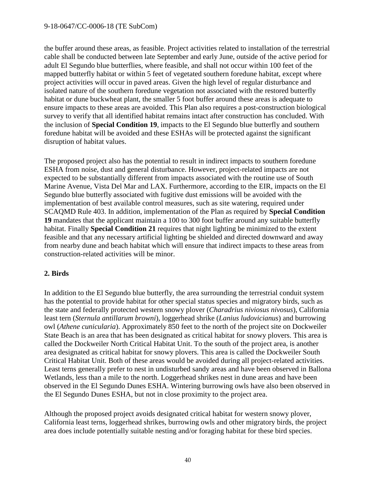the buffer around these areas, as feasible. Project activities related to installation of the terrestrial cable shall be conducted between late September and early June, outside of the active period for adult El Segundo blue butterflies, where feasible, and shall not occur within 100 feet of the mapped butterfly habitat or within 5 feet of vegetated southern foredune habitat, except where project activities will occur in paved areas. Given the high level of regular disturbance and isolated nature of the southern foredune vegetation not associated with the restored butterfly habitat or dune buckwheat plant, the smaller 5 foot buffer around these areas is adequate to ensure impacts to these areas are avoided. This Plan also requires a post-construction biological survey to verify that all identified habitat remains intact after construction has concluded. With the inclusion of **Special Condition 19**, impacts to the El Segundo blue butterfly and southern foredune habitat will be avoided and these ESHAs will be protected against the significant disruption of habitat values.

The proposed project also has the potential to result in indirect impacts to southern foredune ESHA from noise, dust and general disturbance. However, project-related impacts are not expected to be substantially different from impacts associated with the routine use of South Marine Avenue, Vista Del Mar and LAX. Furthermore, according to the EIR, impacts on the El Segundo blue butterfly associated with fugitive dust emissions will be avoided with the implementation of best available control measures, such as site watering, required under SCAQMD Rule 403. In addition, implementation of the Plan as required by **Special Condition 19** mandates that the applicant maintain a 100 to 300 foot buffer around any suitable butterfly habitat. Finally **Special Condition 21** requires that night lighting be minimized to the extent feasible and that any necessary artificial lighting be shielded and directed downward and away from nearby dune and beach habitat which will ensure that indirect impacts to these areas from construction-related activities will be minor.

#### **2. Birds**

In addition to the El Segundo blue butterfly, the area surrounding the terrestrial conduit system has the potential to provide habitat for other special status species and migratory birds, such as the state and federally protected western snowy plover (*Charadrius niviosus nivosus*), California least tern (*Sternula antillarum browni*), loggerhead shrike (*Lanius ludovicianus*) and burrowing owl (*Athene cunicularia*). Approximately 850 feet to the north of the project site on Dockweiler State Beach is an area that has been designated as critical habitat for snowy plovers. This area is called the Dockweiler North Critical Habitat Unit. To the south of the project area, is another area designated as critical habitat for snowy plovers. This area is called the Dockweiler South Critical Habitat Unit. Both of these areas would be avoided during all project-related activities. Least terns generally prefer to nest in undisturbed sandy areas and have been observed in Ballona Wetlands, less than a mile to the north. Loggerhead shrikes nest in dune areas and have been observed in the El Segundo Dunes ESHA. Wintering burrowing owls have also been observed in the El Segundo Dunes ESHA, but not in close proximity to the project area.

Although the proposed project avoids designated critical habitat for western snowy plover, California least terns, loggerhead shrikes, burrowing owls and other migratory birds, the project area does include potentially suitable nesting and/or foraging habitat for these bird species.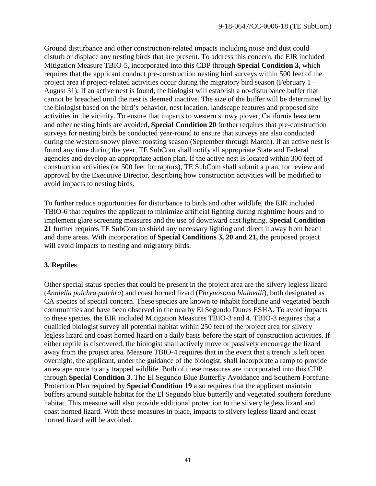Ground disturbance and other construction-related impacts including noise and dust could disturb or displace any nesting birds that are present. To address this concern, the EIR included Mitigation Measure TBIO-5, incorporated into this CDP through **Special Condition 3**, which requires that the applicant conduct pre-construction nesting bird surveys within 500 feet of the project area if project-related activities occur during the migratory bird season (February 1 – August 31). If an active nest is found, the biologist will establish a no-disturbance buffer that cannot be breached until the nest is deemed inactive. The size of the buffer will be determined by the biologist based on the bird's behavior, nest location, landscape features and proposed site activities in the vicinity. To ensure that impacts to western snowy plover, California least tern and other nesting birds are avoided, **Special Condition 20** further requires that pre-construction surveys for nesting birds be conducted year-round to ensure that surveys are also conducted during the western snowy plover roosting season (September through March). If an active nest is found any time during the year, TE SubCom shall notify all appropriate State and Federal agencies and develop an appropriate action plan. If the active nest is located within 300 feet of construction activities (or 500 feet for raptors), TE SubCom shall submit a plan, for review and approval by the Executive Director, describing how construction activities will be modified to avoid impacts to nesting birds.

To further reduce opportunities for disturbance to birds and other wildlife, the EIR included TBIO-6 that requires the applicant to minimize artificial lighting during nighttime hours and to implement glare screening measures and the use of downward cast lighting. **Special Condition 21** further requires TE SubCom to shield any necessary lighting and direct it away from beach and dune areas. With incorporation of **Special Conditions 3, 20 and 21,** the proposed project will avoid impacts to nesting and migratory birds.

## **3. Reptiles**

Other special status species that could be present in the project area are the silvery legless lizard (*Anniella pulchra pulchra*) and coast horned lizard (*Phrynosoma blainvilli*), both designated as CA species of special concern. These species are known to inhabit foredune and vegetated beach communities and have been observed in the nearby El Segundo Dunes ESHA. To avoid impacts to these species, the EIR included Mitigation Measures TBIO-3 and 4. TBIO-3 requires that a qualified biologist survey all potential habitat within 250 feet of the project area for silvery legless lizard and coast horned lizard on a daily basis before the start of construction activities. If either reptile is discovered, the biologist shall actively move or passively encourage the lizard away from the project area. Measure TBIO-4 requires that in the event that a trench is left open overnight, the applicant, under the guidance of the biologist, shall incorporate a ramp to provide an escape route to any trapped wildlife. Both of these measures are incorporated into this CDP through **Special Condition 3**. The El Segundo Blue Butterfly Avoidance and Southern Forefune Protection Plan required by **Special Condition 19** also requires that the applicant maintain buffers around suitable habitat for the El Segundo blue butterfly and vegetated southern foredune habitat. This measure will also provide additional protection to the silvery legless lizard and coast horned lizard. With these measures in place, impacts to silvery legless lizard and coast horned lizard will be avoided.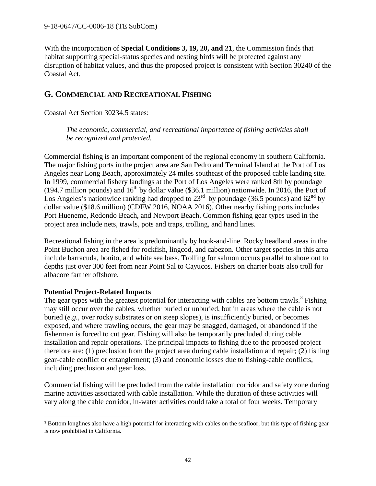With the incorporation of **Special Conditions 3, 19, 20, and 21**, the Commission finds that habitat supporting special-status species and nesting birds will be protected against any disruption of habitat values, and thus the proposed project is consistent with Section 30240 of the Coastal Act.

# <span id="page-41-0"></span>**G. COMMERCIAL AND RECREATIONAL FISHING**

Coastal Act Section 30234.5 states:

*The economic, commercial, and recreational importance of fishing activities shall be recognized and protected.*

Commercial fishing is an important component of the regional economy in southern California. The major fishing ports in the project area are San Pedro and Terminal Island at the Port of Los Angeles near Long Beach, approximately 24 miles southeast of the proposed cable landing site. In 1999, commercial fishery landings at the Port of Los Angeles were ranked 8th by poundage (194.7 million pounds) and  $16<sup>th</sup>$  by dollar value (\$36.1 million) nationwide. In 2016, the Port of Los Angeles's nationwide ranking had dropped to  $23<sup>rd</sup>$  by poundage (36.5 pounds) and 62<sup>nd</sup> by dollar value (\$18.6 million) (CDFW 2016, NOAA 2016). Other nearby fishing ports includes Port Hueneme, Redondo Beach, and Newport Beach. Common fishing gear types used in the project area include nets, trawls, pots and traps, trolling, and hand lines.

Recreational fishing in the area is predominantly by hook-and-line. Rocky headland areas in the Point Buchon area are fished for rockfish, lingcod, and cabezon. Other target species in this area include barracuda, bonito, and white sea bass. Trolling for salmon occurs parallel to shore out to depths just over 300 feet from near Point Sal to Cayucos. Fishers on charter boats also troll for albacore farther offshore.

#### **Potential Project-Related Impacts**

 $\overline{a}$ 

The gear types with the greatest potential for interacting with cables are bottom trawls.<sup>[3](#page-41-1)</sup> Fishing may still occur over the cables, whether buried or unburied, but in areas where the cable is not buried (*e.g.,* over rocky substrates or on steep slopes), is insufficiently buried, or becomes exposed, and where trawling occurs, the gear may be snagged, damaged, or abandoned if the fisherman is forced to cut gear. Fishing will also be temporarily precluded during cable installation and repair operations. The principal impacts to fishing due to the proposed project therefore are: (1) preclusion from the project area during cable installation and repair; (2) fishing gear-cable conflict or entanglement; (3) and economic losses due to fishing-cable conflicts, including preclusion and gear loss.

Commercial fishing will be precluded from the cable installation corridor and safety zone during marine activities associated with cable installation. While the duration of these activities will vary along the cable corridor, in-water activities could take a total of four weeks. Temporary

<span id="page-41-1"></span><sup>3</sup> Bottom longlines also have a high potential for interacting with cables on the seafloor, but this type of fishing gear is now prohibited in California.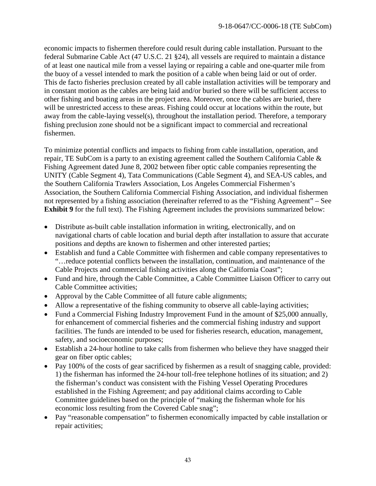economic impacts to fishermen therefore could result during cable installation. Pursuant to the federal Submarine Cable Act (47 U.S.C. 21 §24), all vessels are required to maintain a distance of at least one nautical mile from a vessel laying or repairing a cable and one-quarter mile from the buoy of a vessel intended to mark the position of a cable when being laid or out of order. This de facto fisheries preclusion created by all cable installation activities will be temporary and in constant motion as the cables are being laid and/or buried so there will be sufficient access to other fishing and boating areas in the project area. Moreover, once the cables are buried, there will be unrestricted access to these areas. Fishing could occur at locations within the route, but away from the cable-laying vessel(s), throughout the installation period. Therefore, a temporary fishing preclusion zone should not be a significant impact to commercial and recreational fishermen.

To minimize potential conflicts and impacts to fishing from cable installation, operation, and repair, TE SubCom is a party to an existing agreement called the Southern California Cable & Fishing Agreement dated June 8, 2002 between fiber optic cable companies representing the UNITY (Cable Segment 4), Tata Communications (Cable Segment 4), and SEA-US cables, and the Southern California Trawlers Association, Los Angeles Commercial Fishermen's Association, the Southern California Commercial Fishing Association, and individual fishermen not represented by a fishing association (hereinafter referred to as the "Fishing Agreement" – See **Exhibit 9** for the full text). The Fishing Agreement includes the provisions summarized below:

- Distribute as-built cable installation information in writing, electronically, and on navigational charts of cable location and burial depth after installation to assure that accurate positions and depths are known to fishermen and other interested parties;
- Establish and fund a Cable Committee with fishermen and cable company representatives to "…reduce potential conflicts between the installation, continuation, and maintenance of the Cable Projects and commercial fishing activities along the California Coast";
- Fund and hire, through the Cable Committee, a Cable Committee Liaison Officer to carry out Cable Committee activities;
- Approval by the Cable Committee of all future cable alignments;
- Allow a representative of the fishing community to observe all cable-laying activities;
- Fund a Commercial Fishing Industry Improvement Fund in the amount of \$25,000 annually, for enhancement of commercial fisheries and the commercial fishing industry and support facilities. The funds are intended to be used for fisheries research, education, management, safety, and socioeconomic purposes;
- Establish a 24-hour hotline to take calls from fishermen who believe they have snagged their gear on fiber optic cables;
- Pay 100% of the costs of gear sacrificed by fishermen as a result of snagging cable, provided: 1) the fisherman has informed the 24-hour toll-free telephone hotlines of its situation; and 2) the fisherman's conduct was consistent with the Fishing Vessel Operating Procedures established in the Fishing Agreement; and pay additional claims according to Cable Committee guidelines based on the principle of "making the fisherman whole for his economic loss resulting from the Covered Cable snag";
- Pay "reasonable compensation" to fishermen economically impacted by cable installation or repair activities;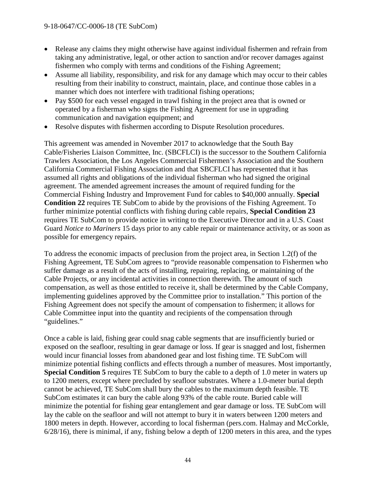- Release any claims they might otherwise have against individual fishermen and refrain from taking any administrative, legal, or other action to sanction and/or recover damages against fishermen who comply with terms and conditions of the Fishing Agreement;
- Assume all liability, responsibility, and risk for any damage which may occur to their cables resulting from their inability to construct, maintain, place, and continue those cables in a manner which does not interfere with traditional fishing operations;
- Pay \$500 for each vessel engaged in trawl fishing in the project area that is owned or operated by a fisherman who signs the Fishing Agreement for use in upgrading communication and navigation equipment; and
- Resolve disputes with fishermen according to Dispute Resolution procedures.

This agreement was amended in November 2017 to acknowledge that the South Bay Cable/Fisheries Liaison Committee, Inc. (SBCFLCI) is the successor to the Southern California Trawlers Association, the Los Angeles Commercial Fishermen's Association and the Southern California Commercial Fishing Association and that SBCFLCI has represented that it has assumed all rights and obligations of the individual fisherman who had signed the original agreement. The amended agreement increases the amount of required funding for the Commercial Fishing Industry and Improvement Fund for cables to \$40,000 annually. **Special Condition 22** requires TE SubCom to abide by the provisions of the Fishing Agreement. To further minimize potential conflicts with fishing during cable repairs, **Special Condition 23** requires TE SubCom to provide notice in writing to the Executive Director and in a U.S. Coast Guard *Notice to Mariners* 15 days prior to any cable repair or maintenance activity, or as soon as possible for emergency repairs.

To address the economic impacts of preclusion from the project area, in Section 1.2(f) of the Fishing Agreement, TE SubCom agrees to "provide reasonable compensation to Fishermen who suffer damage as a result of the acts of installing, repairing, replacing, or maintaining of the Cable Projects, or any incidental activities in connection therewith. The amount of such compensation, as well as those entitled to receive it, shall be determined by the Cable Company, implementing guidelines approved by the Committee prior to installation." This portion of the Fishing Agreement does not specify the amount of compensation to fishermen; it allows for Cable Committee input into the quantity and recipients of the compensation through "guidelines."

Once a cable is laid, fishing gear could snag cable segments that are insufficiently buried or exposed on the seafloor, resulting in gear damage or loss. If gear is snagged and lost, fishermen would incur financial losses from abandoned gear and lost fishing time. TE SubCom will minimize potential fishing conflicts and effects through a number of measures. Most importantly, **Special Condition 5** requires TE SubCom to bury the cable to a depth of 1.0 meter in waters up to 1200 meters, except where precluded by seafloor substrates. Where a 1.0-meter burial depth cannot be achieved, TE SubCom shall bury the cables to the maximum depth feasible. TE SubCom estimates it can bury the cable along 93% of the cable route. Buried cable will minimize the potential for fishing gear entanglement and gear damage or loss. TE SubCom will lay the cable on the seafloor and will not attempt to bury it in waters between 1200 meters and 1800 meters in depth. However, according to local fisherman (pers.com. Halmay and McCorkle, 6/28/16), there is minimal, if any, fishing below a depth of 1200 meters in this area, and the types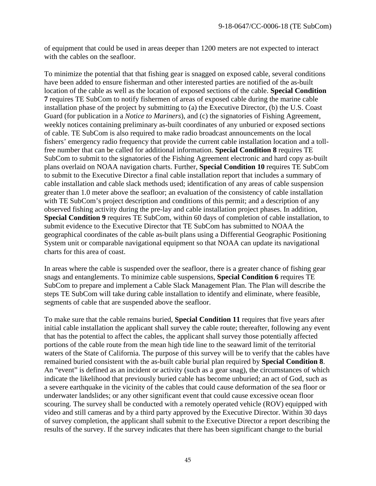of equipment that could be used in areas deeper than 1200 meters are not expected to interact with the cables on the seafloor.

To minimize the potential that that fishing gear is snagged on exposed cable, several conditions have been added to ensure fisherman and other interested parties are notified of the as-built location of the cable as well as the location of exposed sections of the cable. **Special Condition 7** requires TE SubCom to notify fishermen of areas of exposed cable during the marine cable installation phase of the project by submitting to (a) the Executive Director, (b) the U.S. Coast Guard (for publication in a *Notice to Mariners*), and (c) the signatories of Fishing Agreement, weekly notices containing preliminary as-built coordinates of any unburied or exposed sections of cable. TE SubCom is also required to make radio broadcast announcements on the local fishers' emergency radio frequency that provide the current cable installation location and a tollfree number that can be called for additional information. **Special Condition 8** requires TE SubCom to submit to the signatories of the Fishing Agreement electronic and hard copy as-built plans overlaid on NOAA navigation charts. Further, **Special Condition 10** requires TE SubCom to submit to the Executive Director a final cable installation report that includes a summary of cable installation and cable slack methods used; identification of any areas of cable suspension greater than 1.0 meter above the seafloor; an evaluation of the consistency of cable installation with TE SubCom's project description and conditions of this permit; and a description of any observed fishing activity during the pre-lay and cable installation project phases. In addition, **Special Condition 9** requires TE SubCom, within 60 days of completion of cable installation, to submit evidence to the Executive Director that TE SubCom has submitted to NOAA the geographical coordinates of the cable as-built plans using a Differential Geographic Positioning System unit or comparable navigational equipment so that NOAA can update its navigational charts for this area of coast.

In areas where the cable is suspended over the seafloor, there is a greater chance of fishing gear snags and entanglements. To minimize cable suspensions, **Special Condition 6** requires TE SubCom to prepare and implement a Cable Slack Management Plan. The Plan will describe the steps TE SubCom will take during cable installation to identify and eliminate, where feasible, segments of cable that are suspended above the seafloor.

To make sure that the cable remains buried, **Special Condition 11** requires that five years after initial cable installation the applicant shall survey the cable route; thereafter, following any event that has the potential to affect the cables, the applicant shall survey those potentially affected portions of the cable route from the mean high tide line to the seaward limit of the territorial waters of the State of California. The purpose of this survey will be to verify that the cables have remained buried consistent with the as-built cable burial plan required by **Special Condition 8**. An "event" is defined as an incident or activity (such as a gear snag), the circumstances of which indicate the likelihood that previously buried cable has become unburied; an act of God, such as a severe earthquake in the vicinity of the cables that could cause deformation of the sea floor or underwater landslides; or any other significant event that could cause excessive ocean floor scouring. The survey shall be conducted with a remotely operated vehicle (ROV) equipped with video and still cameras and by a third party approved by the Executive Director. Within 30 days of survey completion, the applicant shall submit to the Executive Director a report describing the results of the survey. If the survey indicates that there has been significant change to the burial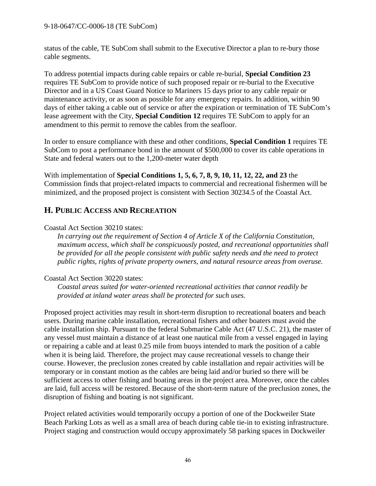status of the cable, TE SubCom shall submit to the Executive Director a plan to re-bury those cable segments.

To address potential impacts during cable repairs or cable re-burial, **Special Condition 23** requires TE SubCom to provide notice of such proposed repair or re-burial to the Executive Director and in a US Coast Guard Notice to Mariners 15 days prior to any cable repair or maintenance activity, or as soon as possible for any emergency repairs. In addition, within 90 days of either taking a cable out of service or after the expiration or termination of TE SubCom's lease agreement with the City, **Special Condition 12** requires TE SubCom to apply for an amendment to this permit to remove the cables from the seafloor.

In order to ensure compliance with these and other conditions, **Special Condition 1** requires TE SubCom to post a performance bond in the amount of \$500,000 to cover its cable operations in State and federal waters out to the 1,200-meter water depth

With implementation of **Special Conditions 1, 5, 6, 7, 8, 9, 10, 11, 12, 22, and 23** the Commission finds that project-related impacts to commercial and recreational fishermen will be minimized, and the proposed project is consistent with Section 30234.5 of the Coastal Act.

# <span id="page-45-0"></span>**H. PUBLIC ACCESS AND RECREATION**

#### Coastal Act Section 30210 states:

*In carrying out the requirement of Section 4 of Article X of the California Constitution, maximum access, which shall be conspicuously posted, and recreational opportunities shall be provided for all the people consistent with public safety needs and the need to protect public rights, rights of private property owners, and natural resource areas from overuse.*

#### Coastal Act Section 30220 states:

*Coastal areas suited for water-oriented recreational activities that cannot readily be provided at inland water areas shall be protected for such uses.*

Proposed project activities may result in short-term disruption to recreational boaters and beach users. During marine cable installation, recreational fishers and other boaters must avoid the cable installation ship. Pursuant to the federal Submarine Cable Act (47 U.S.C. 21), the master of any vessel must maintain a distance of at least one nautical mile from a vessel engaged in laying or repairing a cable and at least 0.25 mile from buoys intended to mark the position of a cable when it is being laid. Therefore, the project may cause recreational vessels to change their course. However, the preclusion zones created by cable installation and repair activities will be temporary or in constant motion as the cables are being laid and/or buried so there will be sufficient access to other fishing and boating areas in the project area. Moreover, once the cables are laid, full access will be restored. Because of the short-term nature of the preclusion zones, the disruption of fishing and boating is not significant.

Project related activities would temporarily occupy a portion of one of the Dockweiler State Beach Parking Lots as well as a small area of beach during cable tie-in to existing infrastructure. Project staging and construction would occupy approximately 58 parking spaces in Dockweiler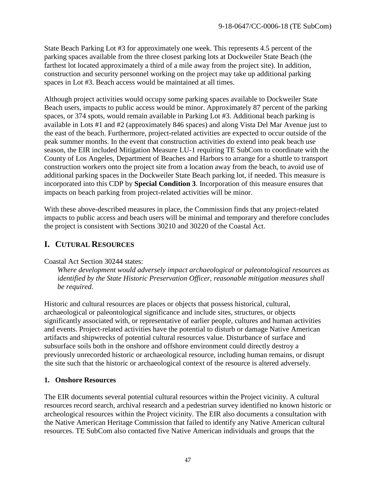State Beach Parking Lot #3 for approximately one week. This represents 4.5 percent of the parking spaces available from the three closest parking lots at Dockweiler State Beach (the farthest lot located approximately a third of a mile away from the project site). In addition, construction and security personnel working on the project may take up additional parking spaces in Lot #3. Beach access would be maintained at all times.

Although project activities would occupy some parking spaces available to Dockweiler State Beach users, impacts to public access would be minor. Approximately 87 percent of the parking spaces, or 374 spots, would remain available in Parking Lot #3. Additional beach parking is available in Lots #1 and #2 (approximately 846 spaces) and along Vista Del Mar Avenue just to the east of the beach. Furthermore, project-related activities are expected to occur outside of the peak summer months. In the event that construction activities do extend into peak beach use season, the EIR included Mitigation Measure LU-1 requiring TE SubCom to coordinate with the County of Los Angeles, Department of Beaches and Harbors to arrange for a shuttle to transport construction workers onto the project site from a location away from the beach, to avoid use of additional parking spaces in the Dockweiler State Beach parking lot, if needed. This measure is incorporated into this CDP by **Special Condition 3**. Incorporation of this measure ensures that impacts on beach parking from project-related activities will be minor.

With these above-described measures in place, the Commission finds that any project-related impacts to public access and beach users will be minimal and temporary and therefore concludes the project is consistent with Sections 30210 and 30220 of the Coastal Act.

# <span id="page-46-0"></span>**I. CUTURAL RESOURCES**

#### Coastal Act Section 30244 states:

*Where development would adversely impact archaeological or paleontological resources as identified by the State Historic Preservation Officer, reasonable mitigation measures shall be required.* 

Historic and cultural resources are places or objects that possess historical, cultural, archaeological or paleontological significance and include sites, structures, or objects significantly associated with, or representative of earlier people, cultures and human activities and events. Project-related activities have the potential to disturb or damage Native American artifacts and shipwrecks of potential cultural resources value. Disturbance of surface and subsurface soils both in the onshore and offshore environment could directly destroy a previously unrecorded historic or archaeological resource, including human remains, or disrupt the site such that the historic or archaeological context of the resource is altered adversely.

#### **1. Onshore Resources**

The EIR documents several potential cultural resources within the Project vicinity. A cultural resources record search, archival research and a pedestrian survey identified no known historic or archeological resources within the Project vicinity. The EIR also documents a consultation with the Native American Heritage Commission that failed to identify any Native American cultural resources. TE SubCom also contacted five Native American individuals and groups that the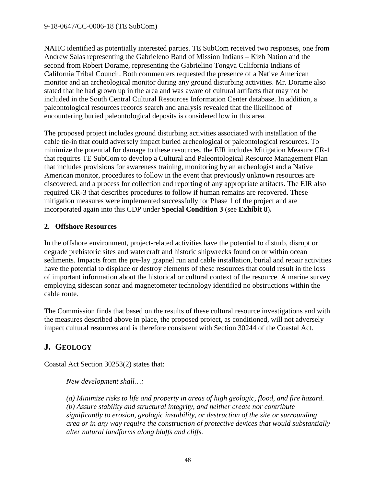NAHC identified as potentially interested parties. TE SubCom received two responses, one from Andrew Salas representing the Gabrieleno Band of Mission Indians – Kizh Nation and the second from Robert Dorame, representing the Gabrielino Tongva California Indians of California Tribal Council. Both commenters requested the presence of a Native American monitor and an archeological monitor during any ground disturbing activities. Mr. Dorame also stated that he had grown up in the area and was aware of cultural artifacts that may not be included in the South Central Cultural Resources Information Center database. In addition, a paleontological resources records search and analysis revealed that the likelihood of encountering buried paleontological deposits is considered low in this area.

The proposed project includes ground disturbing activities associated with installation of the cable tie-in that could adversely impact buried archeological or paleontological resources. To minimize the potential for damage to these resources, the EIR includes Mitigation Measure CR-1 that requires TE SubCom to develop a Cultural and Paleontological Resource Management Plan that includes provisions for awareness training, monitoring by an archeologist and a Native American monitor, procedures to follow in the event that previously unknown resources are discovered, and a process for collection and reporting of any appropriate artifacts. The EIR also required CR-3 that describes procedures to follow if human remains are recovered. These mitigation measures were implemented successfully for Phase 1 of the project and are incorporated again into this CDP under **Special Condition 3** (see **Exhibit 8**)**.**

#### **2. Offshore Resources**

In the offshore environment, project-related activities have the potential to disturb, disrupt or degrade prehistoric sites and watercraft and historic shipwrecks found on or within ocean sediments. Impacts from the pre-lay grapnel run and cable installation, burial and repair activities have the potential to displace or destroy elements of these resources that could result in the loss of important information about the historical or cultural context of the resource. A marine survey employing sidescan sonar and magnetometer technology identified no obstructions within the cable route.

The Commission finds that based on the results of these cultural resource investigations and with the measures described above in place, the proposed project, as conditioned, will not adversely impact cultural resources and is therefore consistent with Section 30244 of the Coastal Act.

# <span id="page-47-0"></span>**J. GEOLOGY**

Coastal Act Section 30253(2) states that:

*New development shall…:*

*(a) Minimize risks to life and property in areas of high geologic, flood, and fire hazard. (b) Assure stability and structural integrity, and neither create nor contribute significantly to erosion, geologic instability, or destruction of the site or surrounding area or in any way require the construction of protective devices that would substantially alter natural landforms along bluffs and cliffs.*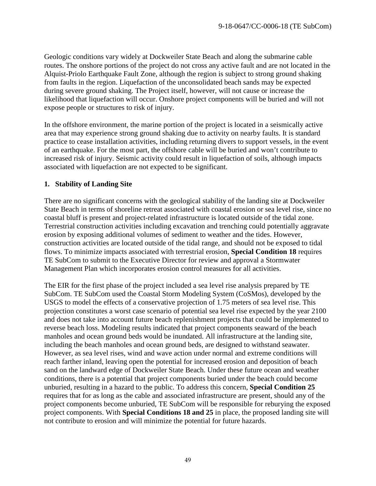Geologic conditions vary widely at Dockweiler State Beach and along the submarine cable routes. The onshore portions of the project do not cross any active fault and are not located in the Alquist-Priolo Earthquake Fault Zone, although the region is subject to strong ground shaking from faults in the region. Liquefaction of the unconsolidated beach sands may be expected during severe ground shaking. The Project itself, however, will not cause or increase the likelihood that liquefaction will occur. Onshore project components will be buried and will not expose people or structures to risk of injury.

In the offshore environment, the marine portion of the project is located in a seismically active area that may experience strong ground shaking due to activity on nearby faults. It is standard practice to cease installation activities, including returning divers to support vessels, in the event of an earthquake. For the most part, the offshore cable will be buried and won't contribute to increased risk of injury. Seismic activity could result in liquefaction of soils, although impacts associated with liquefaction are not expected to be significant.

#### **1. Stability of Landing Site**

There are no significant concerns with the geological stability of the landing site at Dockweiler State Beach in terms of shoreline retreat associated with coastal erosion or sea level rise, since no coastal bluff is present and project-related infrastructure is located outside of the tidal zone. Terrestrial construction activities including excavation and trenching could potentially aggravate erosion by exposing additional volumes of sediment to weather and the tides. However, construction activities are located outside of the tidal range, and should not be exposed to tidal flows. To minimize impacts associated with terrestrial erosion, **Special Condition 18** requires TE SubCom to submit to the Executive Director for review and approval a Stormwater Management Plan which incorporates erosion control measures for all activities.

The EIR for the first phase of the project included a sea level rise analysis prepared by TE SubCom. TE SubCom used the Coastal Storm Modeling System (CoSMos), developed by the USGS to model the effects of a conservative projection of 1.75 meters of sea level rise. This projection constitutes a worst case scenario of potential sea level rise expected by the year 2100 and does not take into account future beach replenishment projects that could be implemented to reverse beach loss. Modeling results indicated that project components seaward of the beach manholes and ocean ground beds would be inundated. All infrastructure at the landing site, including the beach manholes and ocean ground beds, are designed to withstand seawater. However, as sea level rises, wind and wave action under normal and extreme conditions will reach farther inland, leaving open the potential for increased erosion and deposition of beach sand on the landward edge of Dockweiler State Beach. Under these future ocean and weather conditions, there is a potential that project components buried under the beach could become unburied, resulting in a hazard to the public. To address this concern, **Special Condition 25** requires that for as long as the cable and associated infrastructure are present, should any of the project components become unburied, TE SubCom will be responsible for reburying the exposed project components. With **Special Conditions 18 and 25** in place, the proposed landing site will not contribute to erosion and will minimize the potential for future hazards.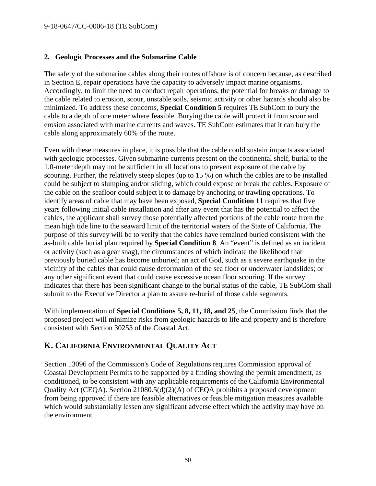#### **2. Geologic Processes and the Submarine Cable**

The safety of the submarine cables along their routes offshore is of concern because, as described in Section E, repair operations have the capacity to adversely impact marine organisms. Accordingly, to limit the need to conduct repair operations, the potential for breaks or damage to the cable related to erosion, scour, unstable soils, seismic activity or other hazards should also be minimized. To address these concerns, **Special Condition 5** requires TE SubCom to bury the cable to a depth of one meter where feasible. Burying the cable will protect it from scour and erosion associated with marine currents and waves. TE SubCom estimates that it can bury the cable along approximately 60% of the route.

Even with these measures in place, it is possible that the cable could sustain impacts associated with geologic processes. Given submarine currents present on the continental shelf, burial to the 1.0-meter depth may not be sufficient in all locations to prevent exposure of the cable by scouring. Further, the relatively steep slopes (up to 15 %) on which the cables are to be installed could be subject to slumping and/or sliding, which could expose or break the cables. Exposure of the cable on the seafloor could subject it to damage by anchoring or trawling operations. To identify areas of cable that may have been exposed, **Special Condition 11** requires that five years following initial cable installation and after any event that has the potential to affect the cables, the applicant shall survey those potentially affected portions of the cable route from the mean high tide line to the seaward limit of the territorial waters of the State of California. The purpose of this survey will be to verify that the cables have remained buried consistent with the as-built cable burial plan required by **Special Condition 8**. An "event" is defined as an incident or activity (such as a gear snag), the circumstances of which indicate the likelihood that previously buried cable has become unburied; an act of God, such as a severe earthquake in the vicinity of the cables that could cause deformation of the sea floor or underwater landslides; or any other significant event that could cause excessive ocean floor scouring. If the survey indicates that there has been significant change to the burial status of the cable, TE SubCom shall submit to the Executive Director a plan to assure re-burial of those cable segments.

With implementation of **Special Conditions 5, 8, 11, 18, and 25**, the Commission finds that the proposed project will minimize risks from geologic hazards to life and property and is therefore consistent with Section 30253 of the Coastal Act.

# <span id="page-49-0"></span>**K. CALIFORNIA ENVIRONMENTAL QUALITY ACT**

Section 13096 of the Commission's Code of Regulations requires Commission approval of Coastal Development Permits to be supported by a finding showing the permit amendment, as conditioned, to be consistent with any applicable requirements of the California Environmental Quality Act (CEQA). Section 21080.5(d)(2)(A) of CEQA prohibits a proposed development from being approved if there are feasible alternatives or feasible mitigation measures available which would substantially lessen any significant adverse effect which the activity may have on the environment.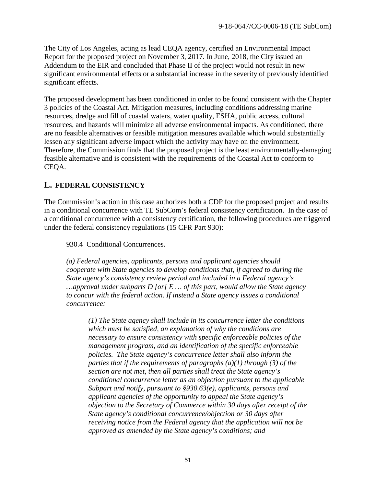The City of Los Angeles, acting as lead CEQA agency, certified an Environmental Impact Report for the proposed project on November 3, 2017. In June, 2018, the City issued an Addendum to the EIR and concluded that Phase II of the project would not result in new significant environmental effects or a substantial increase in the severity of previously identified significant effects.

The proposed development has been conditioned in order to be found consistent with the Chapter 3 policies of the Coastal Act. Mitigation measures, including conditions addressing marine resources, dredge and fill of coastal waters, water quality, ESHA, public access, cultural resources, and hazards will minimize all adverse environmental impacts. As conditioned, there are no feasible alternatives or feasible mitigation measures available which would substantially lessen any significant adverse impact which the activity may have on the environment. Therefore, the Commission finds that the proposed project is the least environmentally-damaging feasible alternative and is consistent with the requirements of the Coastal Act to conform to CEQA.

# <span id="page-50-0"></span>**L. FEDERAL CONSISTENCY**

The Commission's action in this case authorizes both a CDP for the proposed project and results in a conditional concurrence with TE SubCom's federal consistency certification. In the case of a conditional concurrence with a consistency certification, the following procedures are triggered under the federal consistency regulations (15 CFR Part 930):

930.4 Conditional Concurrences.

*(a) Federal agencies, applicants, persons and applicant agencies should cooperate with State agencies to develop conditions that, if agreed to during the State agency's consistency review period and included in a Federal agency's …approval under subparts D [or] E … of this part, would allow the State agency to concur with the federal action. If instead a State agency issues a conditional concurrence:* 

*(1) The State agency shall include in its concurrence letter the conditions which must be satisfied, an explanation of why the conditions are necessary to ensure consistency with specific enforceable policies of the management program, and an identification of the specific enforceable policies. The State agency's concurrence letter shall also inform the parties that if the requirements of paragraphs (a)(1) through (3) of the section are not met, then all parties shall treat the State agency's conditional concurrence letter as an objection pursuant to the applicable Subpart and notify, pursuant to §930.63(e), applicants, persons and applicant agencies of the opportunity to appeal the State agency's objection to the Secretary of Commerce within 30 days after receipt of the State agency's conditional concurrence/objection or 30 days after receiving notice from the Federal agency that the application will not be approved as amended by the State agency's conditions; and*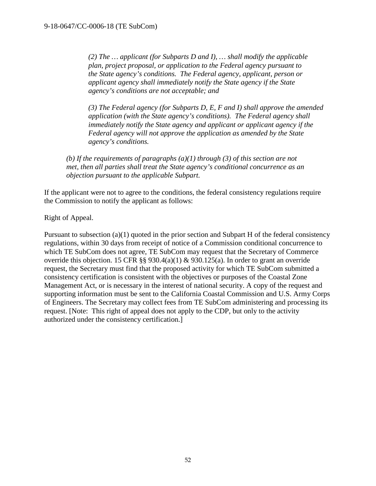*(2) The … applicant (for Subparts D and I), … shall modify the applicable plan, project proposal, or application to the Federal agency pursuant to the State agency's conditions. The Federal agency, applicant, person or applicant agency shall immediately notify the State agency if the State agency's conditions are not acceptable; and*

*(3) The Federal agency (for Subparts D, E, F and I) shall approve the amended application (with the State agency's conditions). The Federal agency shall immediately notify the State agency and applicant or applicant agency if the Federal agency will not approve the application as amended by the State agency's conditions.*

*(b) If the requirements of paragraphs (a)(1) through (3) of this section are not met, then all parties shall treat the State agency's conditional concurrence as an objection pursuant to the applicable Subpart.* 

If the applicant were not to agree to the conditions, the federal consistency regulations require the Commission to notify the applicant as follows:

Right of Appeal.

Pursuant to subsection (a)(1) quoted in the prior section and Subpart H of the federal consistency regulations, within 30 days from receipt of notice of a Commission conditional concurrence to which TE SubCom does not agree, TE SubCom may request that the Secretary of Commerce override this objection. 15 CFR §§ 930.4(a)(1) & 930.125(a). In order to grant an override request, the Secretary must find that the proposed activity for which TE SubCom submitted a consistency certification is consistent with the objectives or purposes of the Coastal Zone Management Act, or is necessary in the interest of national security. A copy of the request and supporting information must be sent to the California Coastal Commission and U.S. Army Corps of Engineers. The Secretary may collect fees from TE SubCom administering and processing its request. [Note: This right of appeal does not apply to the CDP, but only to the activity authorized under the consistency certification.]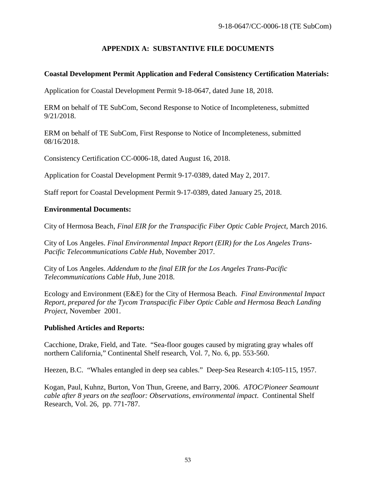## **APPENDIX A: SUBSTANTIVE FILE DOCUMENTS**

#### <span id="page-52-0"></span>**Coastal Development Permit Application and Federal Consistency Certification Materials:**

Application for Coastal Development Permit 9-18-0647, dated June 18, 2018.

ERM on behalf of TE SubCom, Second Response to Notice of Incompleteness, submitted 9/21/2018.

ERM on behalf of TE SubCom, First Response to Notice of Incompleteness, submitted 08/16/2018.

Consistency Certification CC-0006-18, dated August 16, 2018.

Application for Coastal Development Permit 9-17-0389, dated May 2, 2017.

Staff report for Coastal Development Permit 9-17-0389, dated January 25, 2018.

#### **Environmental Documents:**

City of Hermosa Beach, *Final EIR for the Transpacific Fiber Optic Cable Project*, March 2016.

City of Los Angeles. *Final Environmental Impact Report (EIR) for the Los Angeles Trans-Pacific Telecommunications Cable Hub*, November 2017.

City of Los Angeles. *Addendum to the final EIR for the Los Angeles Trans-Pacific Telecommunications Cable Hub*, June 2018.

Ecology and Environment (E&E) for the City of Hermosa Beach. *Final Environmental Impact Report, prepared for the Tycom Transpacific Fiber Optic Cable and Hermosa Beach Landing Project*, November 2001.

#### **Published Articles and Reports:**

Cacchione, Drake, Field, and Tate. "Sea-floor gouges caused by migrating gray whales off northern California," Continental Shelf research, Vol. 7, No. 6, pp. 553-560.

Heezen, B.C. "Whales entangled in deep sea cables." Deep-Sea Research 4:105-115, 1957.

Kogan, Paul, Kuhnz, Burton, Von Thun, Greene, and Barry, 2006. *ATOC/Pioneer Seamount cable after 8 years on the seafloor: Observations, environmental impact*. Continental Shelf Research, Vol. 26, pp. 771-787.